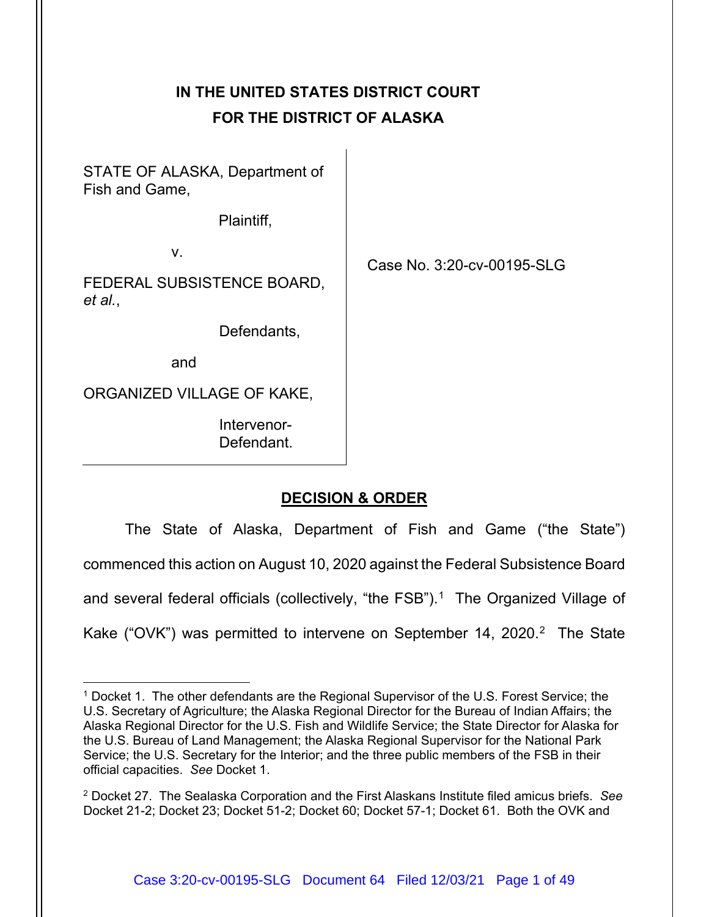# **IN THE UNITED STATES DISTRICT COURT FOR THE DISTRICT OF ALASKA**

STATE OF ALASKA, Department of Fish and Game,

Plaintiff,

v.

FEDERAL SUBSISTENCE BOARD, *et al.*,

Defendants,

and

ORGANIZED VILLAGE OF KAKE,

Intervenor-Defendant. Case No. 3:20-cv-00195-SLG

## **DECISION & ORDER**

The State of Alaska, Department of Fish and Game ("the State") commenced this action on August 10, 2020 against the Federal Subsistence Board and several federal officials (collectively, "the FSB"). [1](#page-0-0) The Organized Village of Kake ("OVK") was permitted to intervene on September 14, 2020.<sup>2</sup> The State

<span id="page-0-0"></span><sup>1</sup> Docket 1. The other defendants are the Regional Supervisor of the U.S. Forest Service; the U.S. Secretary of Agriculture; the Alaska Regional Director for the Bureau of Indian Affairs; the Alaska Regional Director for the U.S. Fish and Wildlife Service; the State Director for Alaska for the U.S. Bureau of Land Management; the Alaska Regional Supervisor for the National Park Service; the U.S. Secretary for the Interior; and the three public members of the FSB in their official capacities. *See* Docket 1.

<span id="page-0-1"></span><sup>2</sup> Docket 27. The Sealaska Corporation and the First Alaskans Institute filed amicus briefs. *See*  Docket 21-2; Docket 23; Docket 51-2; Docket 60; Docket 57-1; Docket 61. Both the OVK and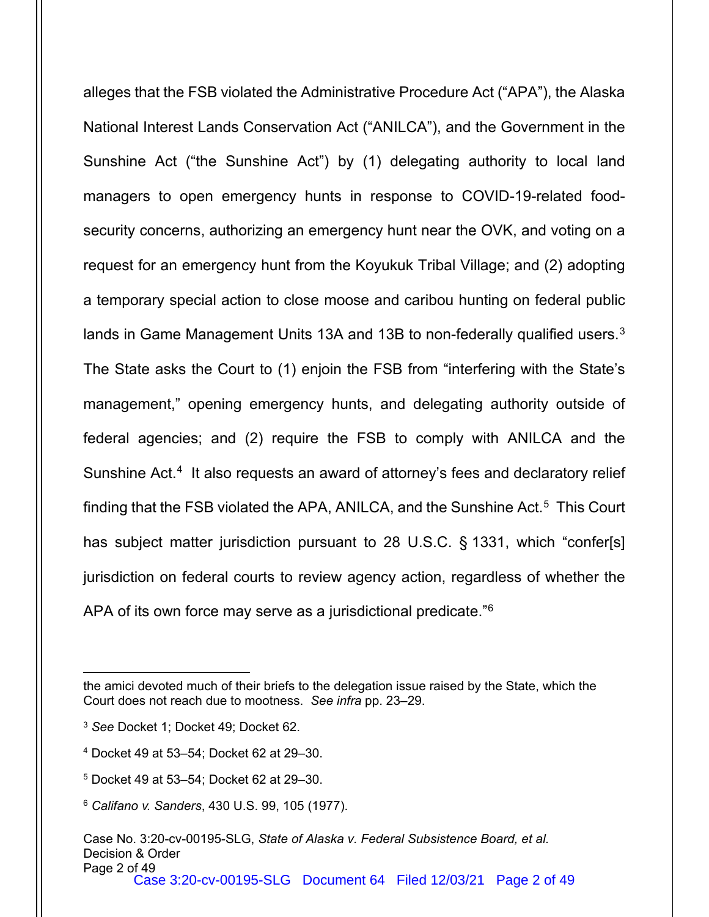alleges that the FSB violated the Administrative Procedure Act ("APA"), the Alaska National Interest Lands Conservation Act ("ANILCA"), and the Government in the Sunshine Act ("the Sunshine Act") by (1) delegating authority to local land managers to open emergency hunts in response to COVID-19-related foodsecurity concerns, authorizing an emergency hunt near the OVK, and voting on a request for an emergency hunt from the Koyukuk Tribal Village; and (2) adopting a temporary special action to close moose and caribou hunting on federal public lands in Game Management Units 1[3](#page-1-0)A and 13B to non-federally qualified users.<sup>3</sup> The State asks the Court to (1) enjoin the FSB from "interfering with the State's management," opening emergency hunts, and delegating authority outside of federal agencies; and (2) require the FSB to comply with ANILCA and the Sunshine Act.<sup>4</sup> It also requests an award of attorney's fees and declaratory relief finding that the FSB violated the APA, ANILCA, and the Sunshine Act.<sup>[5](#page-1-2)</sup> This Court has subject matter jurisdiction pursuant to 28 U.S.C. § 1331, which "confer[s] jurisdiction on federal courts to review agency action, regardless of whether the APA of its own force may serve as a jurisdictional predicate."[6](#page-1-3)

the amici devoted much of their briefs to the delegation issue raised by the State, which the Court does not reach due to mootness. *See infra* pp. 23–29.

<span id="page-1-0"></span><sup>3</sup> *See* Docket 1; Docket 49; Docket 62.

<span id="page-1-1"></span><sup>4</sup> Docket 49 at 53–54; Docket 62 at 29–30.

<span id="page-1-2"></span><sup>5</sup> Docket 49 at 53–54; Docket 62 at 29–30.

<span id="page-1-3"></span><sup>6</sup> *Califano v. Sanders*, 430 U.S. 99, 105 (1977).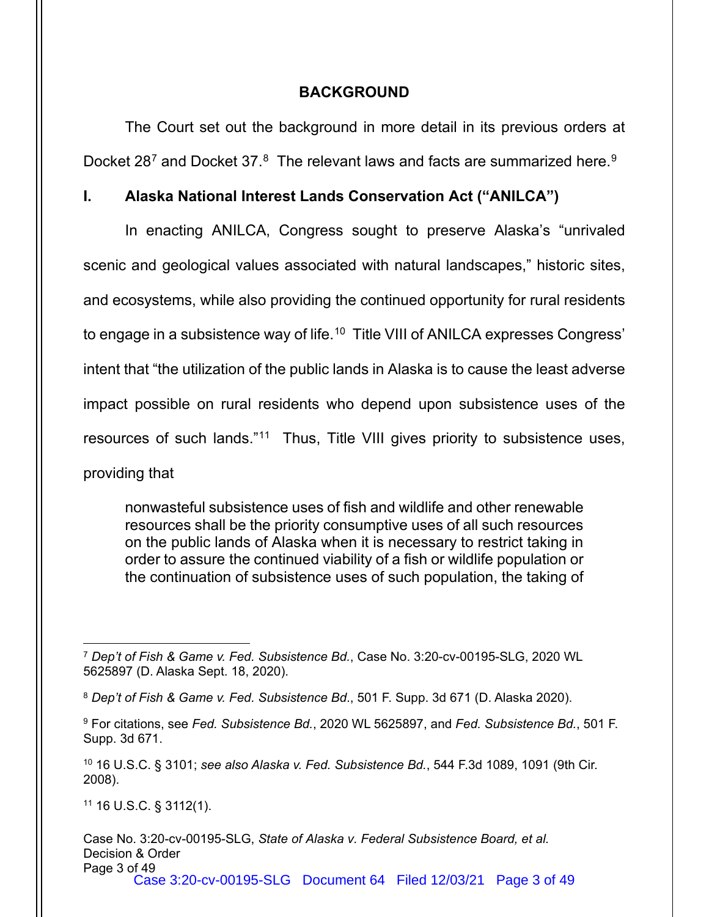## **BACKGROUND**

The Court set out the background in more detail in its previous orders at Docket 28<sup>[7](#page-2-0)</sup> and Docket 37. $^8\,$  $^8\,$  $^8\,$  The relevant laws and facts are summarized here. $^9\,$  $^9\,$  $^9\,$ 

## **I. Alaska National Interest Lands Conservation Act ("ANILCA")**

In enacting ANILCA, Congress sought to preserve Alaska's "unrivaled scenic and geological values associated with natural landscapes," historic sites, and ecosystems, while also providing the continued opportunity for rural residents to engage in a subsistence way of life.<sup>[10](#page-2-3)</sup> Title VIII of ANILCA expresses Congress' intent that "the utilization of the public lands in Alaska is to cause the least adverse impact possible on rural residents who depend upon subsistence uses of the resources of such lands."[11](#page-2-4) Thus, Title VIII gives priority to subsistence uses, providing that

nonwasteful subsistence uses of fish and wildlife and other renewable resources shall be the priority consumptive uses of all such resources on the public lands of Alaska when it is necessary to restrict taking in order to assure the continued viability of a fish or wildlife population or the continuation of subsistence uses of such population, the taking of

<span id="page-2-4"></span><sup>11</sup> 16 U.S.C. § 3112(1).

Case No. 3:20-cv-00195-SLG, *State of Alaska v. Federal Subsistence Board, et al.* Decision & Order Page 3 of 49 Case 3:20-cv-00195-SLG Document 64 Filed 12/03/21 Page 3 of 49

<span id="page-2-0"></span><sup>7</sup> *Dep't of Fish & Game v. Fed. Subsistence Bd.*, Case No. 3:20-cv-00195-SLG, 2020 WL 5625897 (D. Alaska Sept. 18, 2020).

<span id="page-2-1"></span><sup>8</sup> *Dep't of Fish & Game v. Fed. Subsistence Bd*., 501 F. Supp. 3d 671 (D. Alaska 2020).

<span id="page-2-2"></span><sup>9</sup> For citations, see *Fed. Subsistence Bd.*, 2020 WL 5625897, and *Fed. Subsistence Bd.*, 501 F. Supp. 3d 671.

<span id="page-2-3"></span><sup>10</sup> 16 U.S.C. § 3101; *see also Alaska v. Fed. Subsistence Bd.*, 544 F.3d 1089, 1091 (9th Cir. 2008).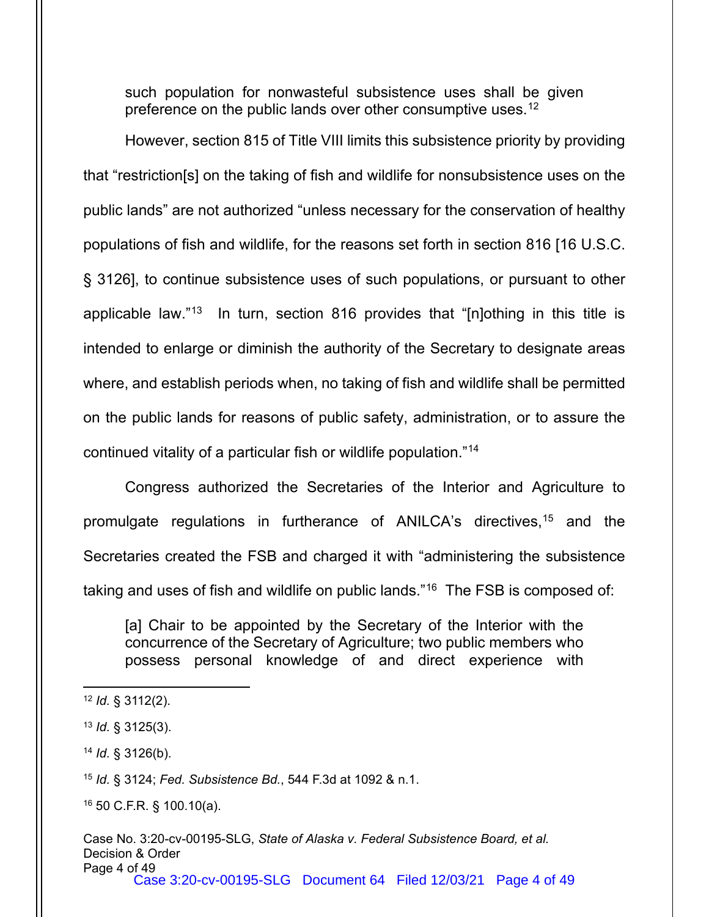such population for nonwasteful subsistence uses shall be given preference on the public lands over other consumptive uses.<sup>[12](#page-3-0)</sup>

However, section 815 of Title VIII limits this subsistence priority by providing that "restriction[s] on the taking of fish and wildlife for nonsubsistence uses on the public lands" are not authorized "unless necessary for the conservation of healthy populations of fish and wildlife, for the reasons set forth in section 816 [16 U.S.C. § 3126], to continue subsistence uses of such populations, or pursuant to other applicable law."[13](#page-3-1) In turn, section 816 provides that "[n]othing in this title is intended to enlarge or diminish the authority of the Secretary to designate areas where, and establish periods when, no taking of fish and wildlife shall be permitted on the public lands for reasons of public safety, administration, or to assure the continued vitality of a particular fish or wildlife population."[14](#page-3-2)

Congress authorized the Secretaries of the Interior and Agriculture to promulgate regulations in furtherance of ANILCA's directives,[15](#page-3-3) and the Secretaries created the FSB and charged it with "administering the subsistence taking and uses of fish and wildlife on public lands."[16](#page-3-4) The FSB is composed of:

[a] Chair to be appointed by the Secretary of the Interior with the concurrence of the Secretary of Agriculture; two public members who possess personal knowledge of and direct experience with

<span id="page-3-3"></span><sup>15</sup> *Id.* § 3124; *Fed. Subsistence Bd.*, 544 F.3d at 1092 & n.1.

<span id="page-3-4"></span><sup>16</sup> 50 C.F.R. § 100.10(a).

<span id="page-3-0"></span><sup>12</sup> *Id.* § 3112(2).

<span id="page-3-1"></span><sup>13</sup> *Id.* § 3125(3).

<span id="page-3-2"></span><sup>14</sup> *Id.* § 3126(b).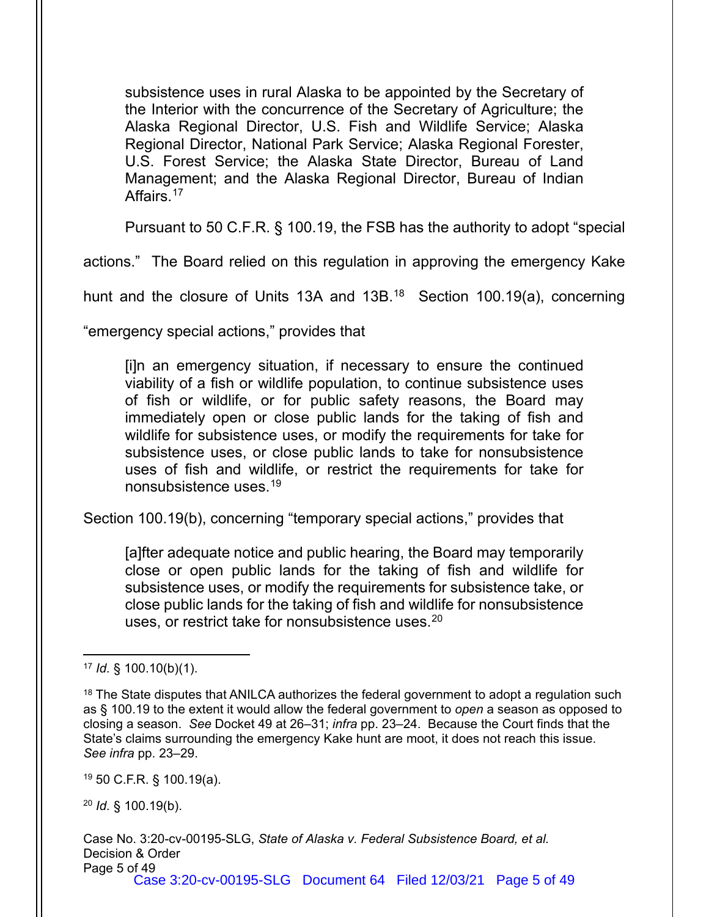subsistence uses in rural Alaska to be appointed by the Secretary of the Interior with the concurrence of the Secretary of Agriculture; the Alaska Regional Director, U.S. Fish and Wildlife Service; Alaska Regional Director, National Park Service; Alaska Regional Forester, U.S. Forest Service; the Alaska State Director, Bureau of Land Management; and the Alaska Regional Director, Bureau of Indian Affairs.<sup>[17](#page-4-0)</sup>

Pursuant to 50 C.F.R. § 100.19, the FSB has the authority to adopt "special

actions." The Board relied on this regulation in approving the emergency Kake

hunt and the closure of Units 13A and 13B.<sup>[18](#page-4-1)</sup> Section 100.19(a), concerning

"emergency special actions," provides that

[i]n an emergency situation, if necessary to ensure the continued viability of a fish or wildlife population, to continue subsistence uses of fish or wildlife, or for public safety reasons, the Board may immediately open or close public lands for the taking of fish and wildlife for subsistence uses, or modify the requirements for take for subsistence uses, or close public lands to take for nonsubsistence uses of fish and wildlife, or restrict the requirements for take for nonsubsistence uses.[19](#page-4-2)

Section 100.19(b), concerning "temporary special actions," provides that

[a]fter adequate notice and public hearing, the Board may temporarily close or open public lands for the taking of fish and wildlife for subsistence uses, or modify the requirements for subsistence take, or close public lands for the taking of fish and wildlife for nonsubsistence uses, or restrict take for nonsubsistence uses.<sup>[20](#page-4-3)</sup>

<span id="page-4-2"></span><sup>19</sup> 50 C.F.R. § 100.19(a).

<span id="page-4-3"></span><sup>20</sup> *Id.* § 100.19(b).

<span id="page-4-0"></span><sup>17</sup> *Id.* § 100.10(b)(1).

<span id="page-4-1"></span><sup>&</sup>lt;sup>18</sup> The State disputes that ANILCA authorizes the federal government to adopt a regulation such as § 100.19 to the extent it would allow the federal government to *open* a season as opposed to closing a season. *See* Docket 49 at 26–31; *infra* pp. 23–24. Because the Court finds that the State's claims surrounding the emergency Kake hunt are moot, it does not reach this issue. *See infra* pp. 23–29.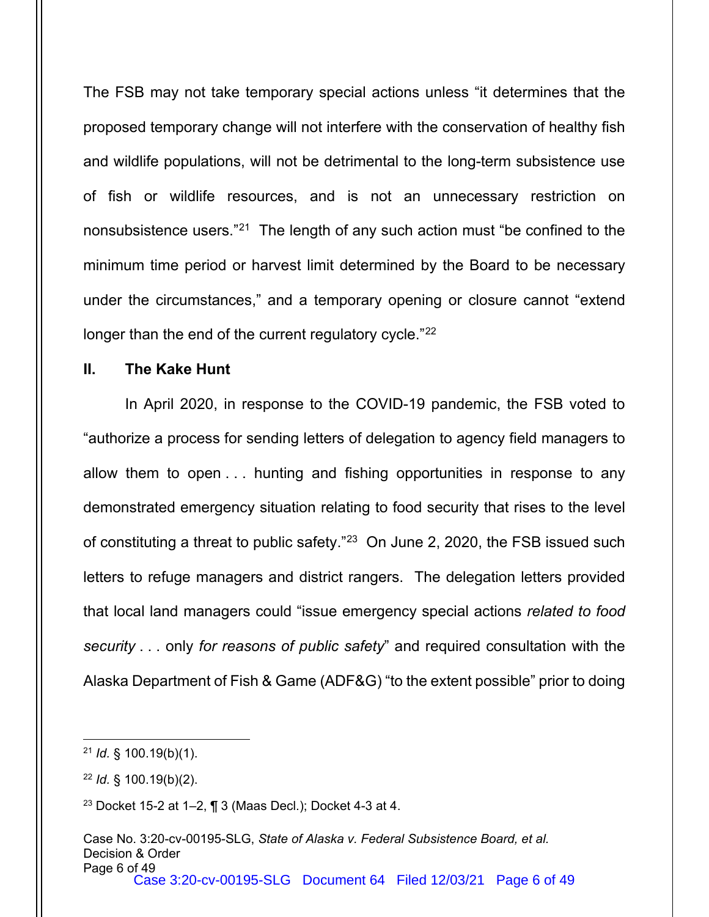The FSB may not take temporary special actions unless "it determines that the proposed temporary change will not interfere with the conservation of healthy fish and wildlife populations, will not be detrimental to the long-term subsistence use of fish or wildlife resources, and is not an unnecessary restriction on nonsubsistence users."[21](#page-5-0) The length of any such action must "be confined to the minimum time period or harvest limit determined by the Board to be necessary under the circumstances," and a temporary opening or closure cannot "extend longer than the end of the current regulatory cycle."<sup>[22](#page-5-1)</sup>

#### **II. The Kake Hunt**

In April 2020, in response to the COVID-19 pandemic, the FSB voted to "authorize a process for sending letters of delegation to agency field managers to allow them to open . . . hunting and fishing opportunities in response to any demonstrated emergency situation relating to food security that rises to the level of constituting a threat to public safety."[23](#page-5-2) On June 2, 2020, the FSB issued such letters to refuge managers and district rangers. The delegation letters provided that local land managers could "issue emergency special actions *related to food security* . . . only *for reasons of public safety*" and required consultation with the Alaska Department of Fish & Game (ADF&G) "to the extent possible" prior to doing

<span id="page-5-0"></span><sup>21</sup> *Id.* § 100.19(b)(1).

<span id="page-5-1"></span><sup>22</sup> *Id.* § 100.19(b)(2).

<span id="page-5-2"></span><sup>23</sup> Docket 15-2 at 1–2, ¶ 3 (Maas Decl.); Docket 4-3 at 4.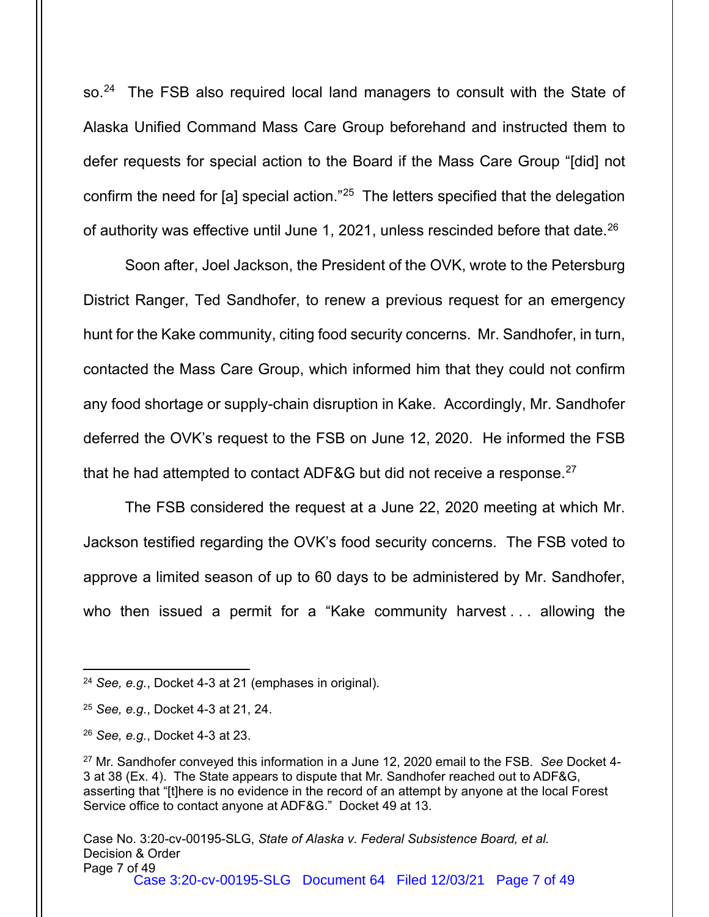so.<sup>[24](#page-6-0)</sup> The FSB also required local land managers to consult with the State of Alaska Unified Command Mass Care Group beforehand and instructed them to defer requests for special action to the Board if the Mass Care Group "[did] not confirm the need for [a] special action.["25](#page-6-1) The letters specified that the delegation of authority was effective until June 1, 2021, unless rescinded before that date.[26](#page-6-2)

Soon after, Joel Jackson, the President of the OVK, wrote to the Petersburg District Ranger, Ted Sandhofer, to renew a previous request for an emergency hunt for the Kake community, citing food security concerns. Mr. Sandhofer, in turn, contacted the Mass Care Group, which informed him that they could not confirm any food shortage or supply-chain disruption in Kake. Accordingly, Mr. Sandhofer deferred the OVK's request to the FSB on June 12, 2020. He informed the FSB that he had attempted to contact ADF&G but did not receive a response.<sup>[27](#page-6-3)</sup>

The FSB considered the request at a June 22, 2020 meeting at which Mr. Jackson testified regarding the OVK's food security concerns. The FSB voted to approve a limited season of up to 60 days to be administered by Mr. Sandhofer, who then issued a permit for a "Kake community harvest . . . allowing the

<span id="page-6-0"></span><sup>24</sup> *See, e.g.*, Docket 4-3 at 21 (emphases in original).

<span id="page-6-1"></span><sup>25</sup> *See, e.g.*, Docket 4-3 at 21, 24.

<span id="page-6-2"></span><sup>26</sup> *See, e.g.*, Docket 4-3 at 23.

<span id="page-6-3"></span><sup>27</sup> Mr. Sandhofer conveyed this information in a June 12, 2020 email to the FSB. *See* Docket 4- 3 at 38 (Ex. 4). The State appears to dispute that Mr. Sandhofer reached out to ADF&G, asserting that "[t]here is no evidence in the record of an attempt by anyone at the local Forest Service office to contact anyone at ADF&G." Docket 49 at 13.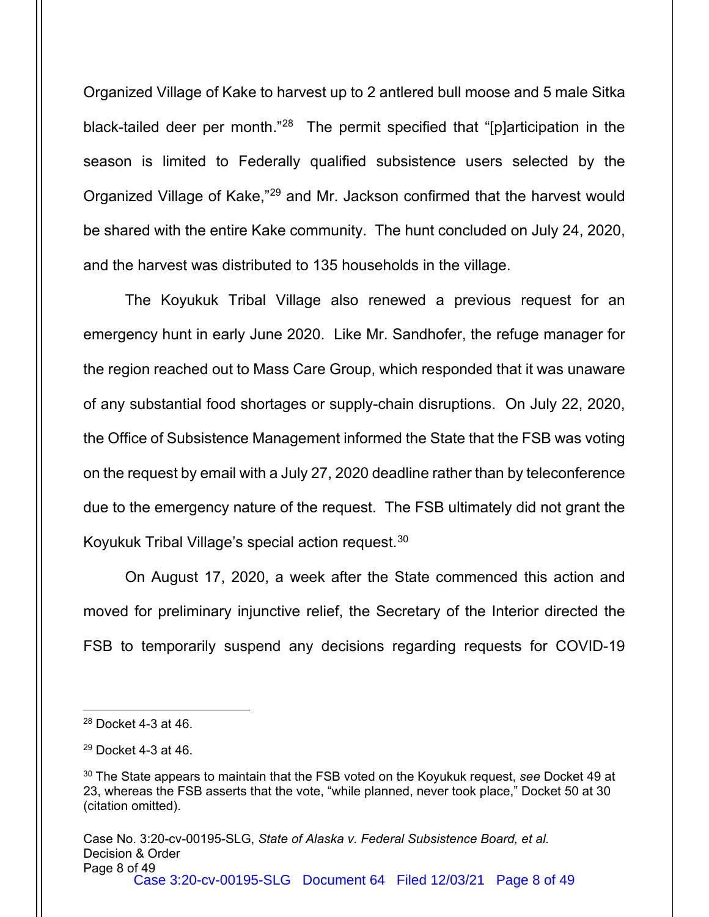Organized Village of Kake to harvest up to 2 antlered bull moose and 5 male Sitka black-tailed deer per month.<sup>"[28](#page-7-0)</sup> The permit specified that "[p]articipation in the season is limited to Federally qualified subsistence users selected by the Organized Village of Kake,"[29](#page-7-1) and Mr. Jackson confirmed that the harvest would be shared with the entire Kake community. The hunt concluded on July 24, 2020, and the harvest was distributed to 135 households in the village.

The Koyukuk Tribal Village also renewed a previous request for an emergency hunt in early June 2020. Like Mr. Sandhofer, the refuge manager for the region reached out to Mass Care Group, which responded that it was unaware of any substantial food shortages or supply-chain disruptions. On July 22, 2020, the Office of Subsistence Management informed the State that the FSB was voting on the request by email with a July 27, 2020 deadline rather than by teleconference due to the emergency nature of the request. The FSB ultimately did not grant the Koyukuk Tribal Village's special action request.[30](#page-7-2)

On August 17, 2020, a week after the State commenced this action and moved for preliminary injunctive relief, the Secretary of the Interior directed the FSB to temporarily suspend any decisions regarding requests for COVID-19

<span id="page-7-0"></span><sup>28</sup> Docket 4-3 at 46.

<span id="page-7-1"></span><sup>29</sup> Docket 4-3 at 46.

<span id="page-7-2"></span><sup>30</sup> The State appears to maintain that the FSB voted on the Koyukuk request, *see* Docket 49 at 23, whereas the FSB asserts that the vote, "while planned, never took place," Docket 50 at 30 (citation omitted).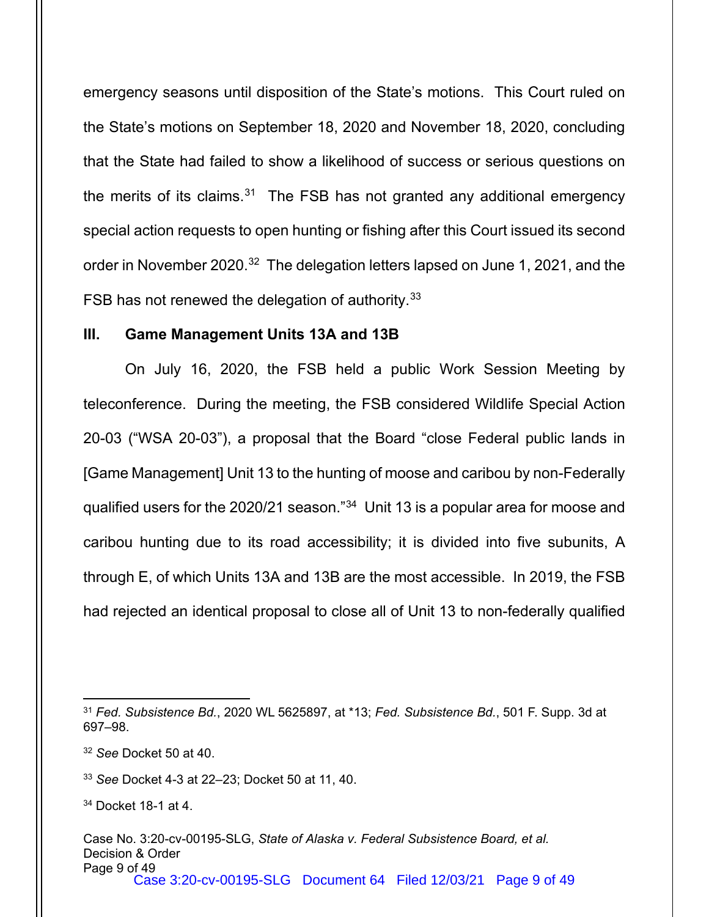emergency seasons until disposition of the State's motions. This Court ruled on the State's motions on September 18, 2020 and November 18, 2020, concluding that the State had failed to show a likelihood of success or serious questions on the merits of its claims. $31$  The FSB has not granted any additional emergency special action requests to open hunting or fishing after this Court issued its second order in November 2020.<sup>[32](#page-8-1)</sup> The delegation letters lapsed on June 1, 2021, and the FSB has not renewed the delegation of authority.<sup>[33](#page-8-2)</sup>

#### **III. Game Management Units 13A and 13B**

On July 16, 2020, the FSB held a public Work Session Meeting by teleconference. During the meeting, the FSB considered Wildlife Special Action 20-03 ("WSA 20-03"), a proposal that the Board "close Federal public lands in [Game Management] Unit 13 to the hunting of moose and caribou by non-Federally qualified users for the 2020/21 season."[34](#page-8-3) Unit 13 is a popular area for moose and caribou hunting due to its road accessibility; it is divided into five subunits, A through E, of which Units 13A and 13B are the most accessible. In 2019, the FSB had rejected an identical proposal to close all of Unit 13 to non-federally qualified

<span id="page-8-0"></span><sup>31</sup> *Fed. Subsistence Bd.*, 2020 WL 5625897, at \*13; *Fed. Subsistence Bd.*, 501 F. Supp. 3d at 697–98.

<span id="page-8-1"></span><sup>32</sup> *See* Docket 50 at 40.

<span id="page-8-2"></span><sup>33</sup> *See* Docket 4-3 at 22–23; Docket 50 at 11, 40.

<span id="page-8-3"></span><sup>34</sup> Docket 18-1 at 4.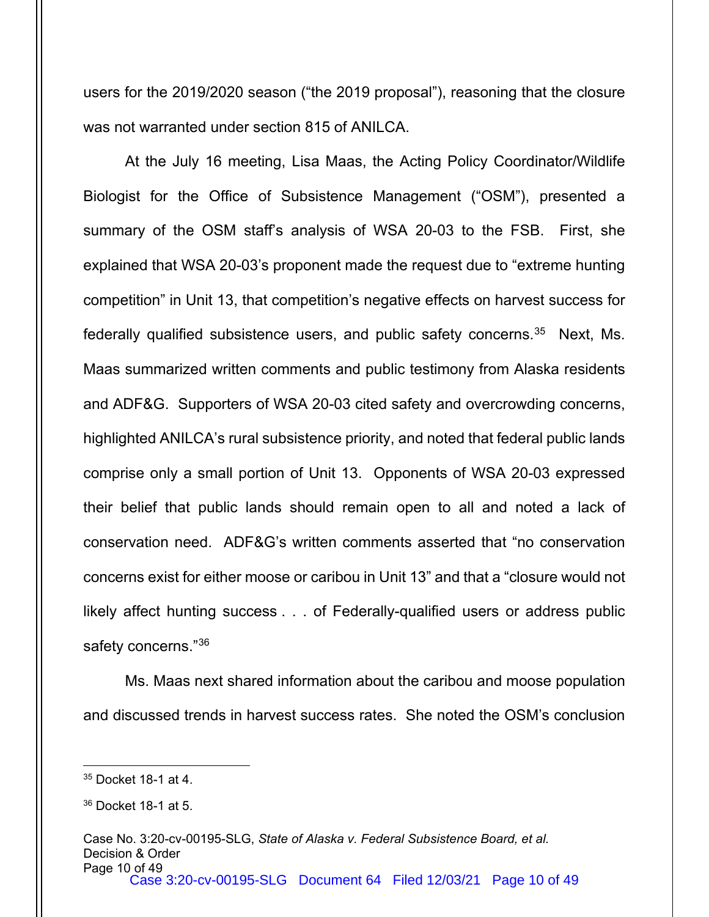users for the 2019/2020 season ("the 2019 proposal"), reasoning that the closure was not warranted under section 815 of ANILCA.

At the July 16 meeting, Lisa Maas, the Acting Policy Coordinator/Wildlife Biologist for the Office of Subsistence Management ("OSM"), presented a summary of the OSM staff's analysis of WSA 20-03 to the FSB. First, she explained that WSA 20-03's proponent made the request due to "extreme hunting competition" in Unit 13, that competition's negative effects on harvest success for federally qualified subsistence users, and public safety concerns. $35$  Next, Ms. Maas summarized written comments and public testimony from Alaska residents and ADF&G. Supporters of WSA 20-03 cited safety and overcrowding concerns, highlighted ANILCA's rural subsistence priority, and noted that federal public lands comprise only a small portion of Unit 13. Opponents of WSA 20-03 expressed their belief that public lands should remain open to all and noted a lack of conservation need. ADF&G's written comments asserted that "no conservation concerns exist for either moose or caribou in Unit 13" and that a "closure would not likely affect hunting success . . . of Federally-qualified users or address public safety concerns."<sup>[36](#page-9-1)</sup>

Ms. Maas next shared information about the caribou and moose population and discussed trends in harvest success rates. She noted the OSM's conclusion

<span id="page-9-0"></span><sup>35</sup> Docket 18-1 at 4.

<span id="page-9-1"></span><sup>36</sup> Docket 18-1 at 5.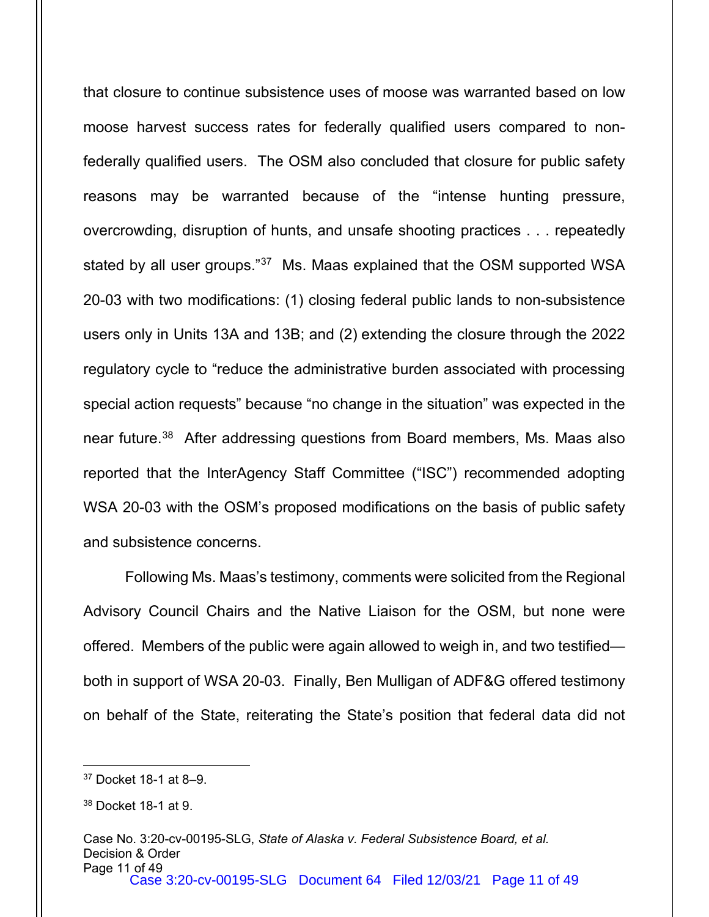that closure to continue subsistence uses of moose was warranted based on low moose harvest success rates for federally qualified users compared to nonfederally qualified users. The OSM also concluded that closure for public safety reasons may be warranted because of the "intense hunting pressure, overcrowding, disruption of hunts, and unsafe shooting practices . . . repeatedly stated by all user groups."<sup>37</sup> Ms. Maas explained that the OSM supported WSA 20-03 with two modifications: (1) closing federal public lands to non-subsistence users only in Units 13A and 13B; and (2) extending the closure through the 2022 regulatory cycle to "reduce the administrative burden associated with processing special action requests" because "no change in the situation" was expected in the near future.<sup>38</sup> After addressing questions from Board members, Ms. Maas also reported that the InterAgency Staff Committee ("ISC") recommended adopting WSA 20-03 with the OSM's proposed modifications on the basis of public safety and subsistence concerns.

Following Ms. Maas's testimony, comments were solicited from the Regional Advisory Council Chairs and the Native Liaison for the OSM, but none were offered. Members of the public were again allowed to weigh in, and two testified both in support of WSA 20-03. Finally, Ben Mulligan of ADF&G offered testimony on behalf of the State, reiterating the State's position that federal data did not

<span id="page-10-0"></span><sup>37</sup> Docket 18-1 at 8–9.

<span id="page-10-1"></span><sup>38</sup> Docket 18-1 at 9.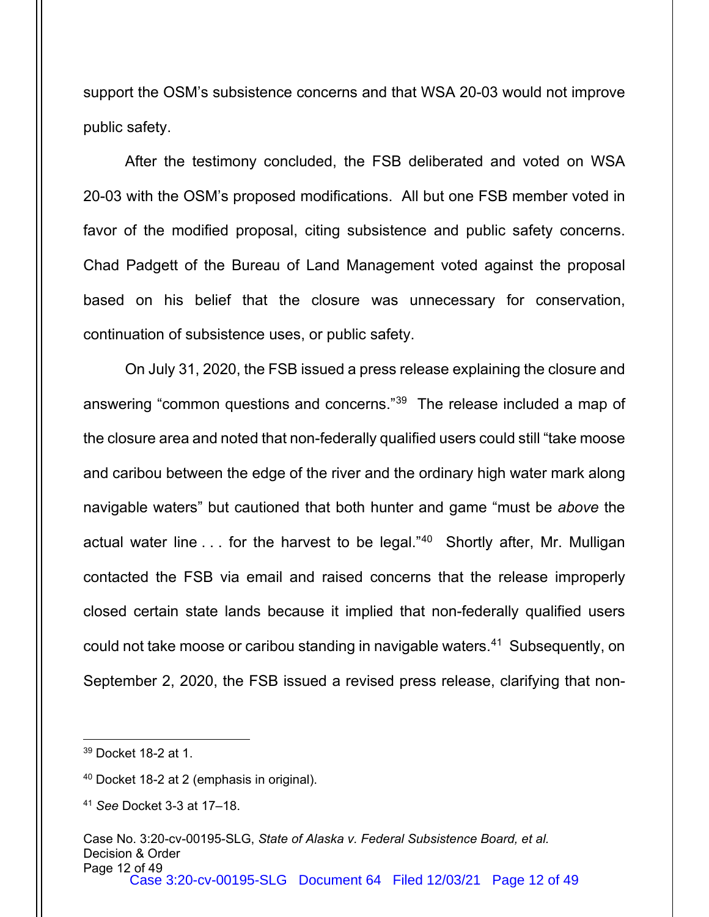support the OSM's subsistence concerns and that WSA 20-03 would not improve public safety.

After the testimony concluded, the FSB deliberated and voted on WSA 20-03 with the OSM's proposed modifications. All but one FSB member voted in favor of the modified proposal, citing subsistence and public safety concerns. Chad Padgett of the Bureau of Land Management voted against the proposal based on his belief that the closure was unnecessary for conservation, continuation of subsistence uses, or public safety.

On July 31, 2020, the FSB issued a press release explaining the closure and answering "common questions and concerns."[39](#page-11-0) The release included a map of the closure area and noted that non-federally qualified users could still "take moose and caribou between the edge of the river and the ordinary high water mark along navigable waters" but cautioned that both hunter and game "must be *above* the actual water line . . . for the harvest to be legal."<sup>40</sup> Shortly after, Mr. Mulligan contacted the FSB via email and raised concerns that the release improperly closed certain state lands because it implied that non-federally qualified users could not take moose or caribou standing in navigable waters.<sup>41</sup> Subsequently, on September 2, 2020, the FSB issued a revised press release, clarifying that non-

<span id="page-11-0"></span><sup>39</sup> Docket 18-2 at 1.

<span id="page-11-1"></span><sup>40</sup> Docket 18-2 at 2 (emphasis in original).

<span id="page-11-2"></span><sup>41</sup> *See* Docket 3-3 at 17–18.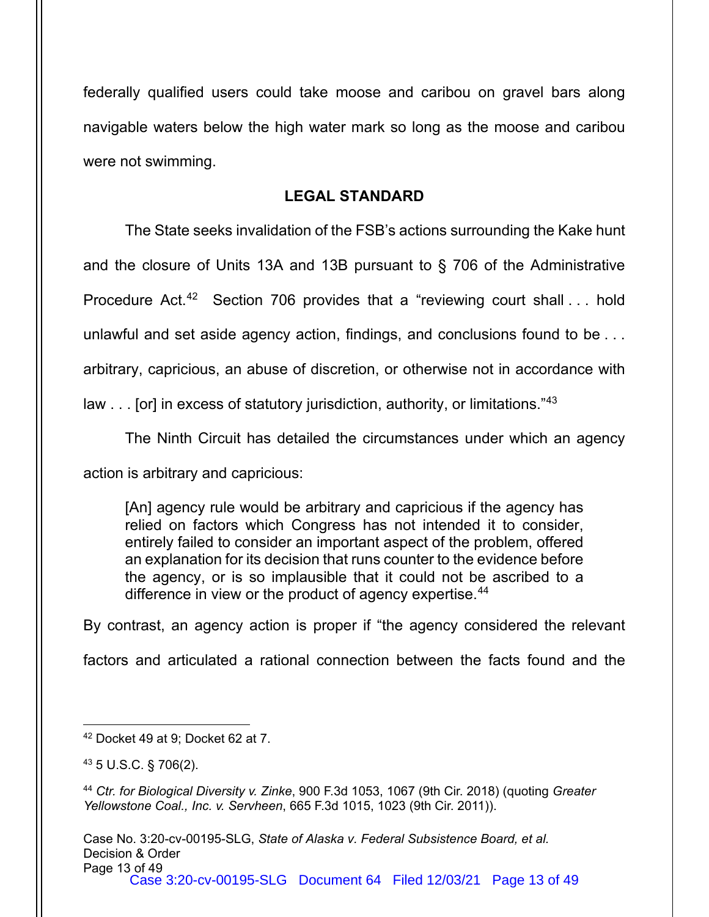federally qualified users could take moose and caribou on gravel bars along navigable waters below the high water mark so long as the moose and caribou were not swimming.

## **LEGAL STANDARD**

The State seeks invalidation of the FSB's actions surrounding the Kake hunt and the closure of Units 13A and 13B pursuant to § 706 of the Administrative Procedure Act.<sup>42</sup> Section 706 provides that a "reviewing court shall . . . hold unlawful and set aside agency action, findings, and conclusions found to be . . . arbitrary, capricious, an abuse of discretion, or otherwise not in accordance with law . . . [or] in excess of statutory jurisdiction, authority, or limitations."[43](#page-12-1)

The Ninth Circuit has detailed the circumstances under which an agency action is arbitrary and capricious:

[An] agency rule would be arbitrary and capricious if the agency has relied on factors which Congress has not intended it to consider, entirely failed to consider an important aspect of the problem, offered an explanation for its decision that runs counter to the evidence before the agency, or is so implausible that it could not be ascribed to a difference in view or the product of agency expertise.<sup>[44](#page-12-2)</sup>

By contrast, an agency action is proper if "the agency considered the relevant

factors and articulated a rational connection between the facts found and the

<span id="page-12-0"></span><sup>42</sup> Docket 49 at 9; Docket 62 at 7.

<span id="page-12-1"></span><sup>43</sup> 5 U.S.C. § 706(2).

<span id="page-12-2"></span><sup>44</sup> *Ctr. for Biological Diversity v. Zinke*, 900 F.3d 1053, 1067 (9th Cir. 2018) (quoting *Greater Yellowstone Coal., Inc. v. Servheen*, 665 F.3d 1015, 1023 (9th Cir. 2011)).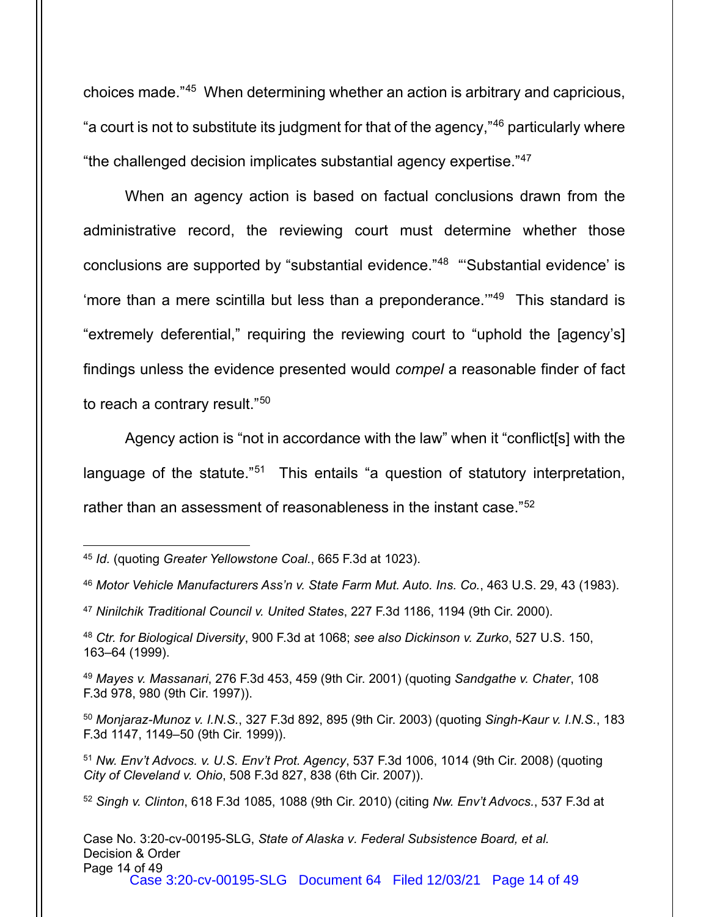choices made."[45](#page-13-0) When determining whether an action is arbitrary and capricious, "a court is not to substitute its judgment for that of the agency,"[46](#page-13-1) particularly where "the challenged decision implicates substantial agency expertise."[47](#page-13-2)

When an agency action is based on factual conclusions drawn from the administrative record, the reviewing court must determine whether those conclusions are supported by "substantial evidence."[48](#page-13-3) "'Substantial evidence' is 'more than a mere scintilla but less than a preponderance.'"[49](#page-13-4) This standard is "extremely deferential," requiring the reviewing court to "uphold the [agency's] findings unless the evidence presented would *compel* a reasonable finder of fact to reach a contrary result."[50](#page-13-5)

Agency action is "not in accordance with the law" when it "conflict[s] with the language of the statute."<sup>[51](#page-13-6)</sup> This entails "a question of statutory interpretation, rather than an assessment of reasonableness in the instant case."[52](#page-13-7)

<span id="page-13-0"></span><sup>45</sup> *Id.* (quoting *Greater Yellowstone Coal.*, 665 F.3d at 1023).

<span id="page-13-1"></span><sup>46</sup> *Motor Vehicle Manufacturers Ass'n v. State Farm Mut. Auto. Ins. Co.*, 463 U.S. 29, 43 (1983).

<span id="page-13-2"></span><sup>47</sup> *Ninilchik Traditional Council v. United States*, 227 F.3d 1186, 1194 (9th Cir. 2000).

<span id="page-13-3"></span><sup>48</sup> *Ctr. for Biological Diversity*, 900 F.3d at 1068; *see also Dickinson v. Zurko*, 527 U.S. 150, 163–64 (1999).

<span id="page-13-4"></span><sup>49</sup> *Mayes v. Massanari*, 276 F.3d 453, 459 (9th Cir. 2001) (quoting *Sandgathe v. Chater*, 108 F.3d 978, 980 (9th Cir. 1997)).

<span id="page-13-5"></span><sup>50</sup> *Monjaraz-Munoz v. I.N.S.*, 327 F.3d 892, 895 (9th Cir. 2003) (quoting *Singh-Kaur v. I.N.S.*, 183 F.3d 1147, 1149–50 (9th Cir. 1999)).

<span id="page-13-6"></span><sup>51</sup> *Nw. Env't Advocs. v. U.S. Env't Prot. Agency*, 537 F.3d 1006, 1014 (9th Cir. 2008) (quoting *City of Cleveland v. Ohio*, 508 F.3d 827, 838 (6th Cir. 2007)).

<span id="page-13-7"></span><sup>52</sup> *Singh v. Clinton*, 618 F.3d 1085, 1088 (9th Cir. 2010) (citing *Nw. Env't Advocs.*, 537 F.3d at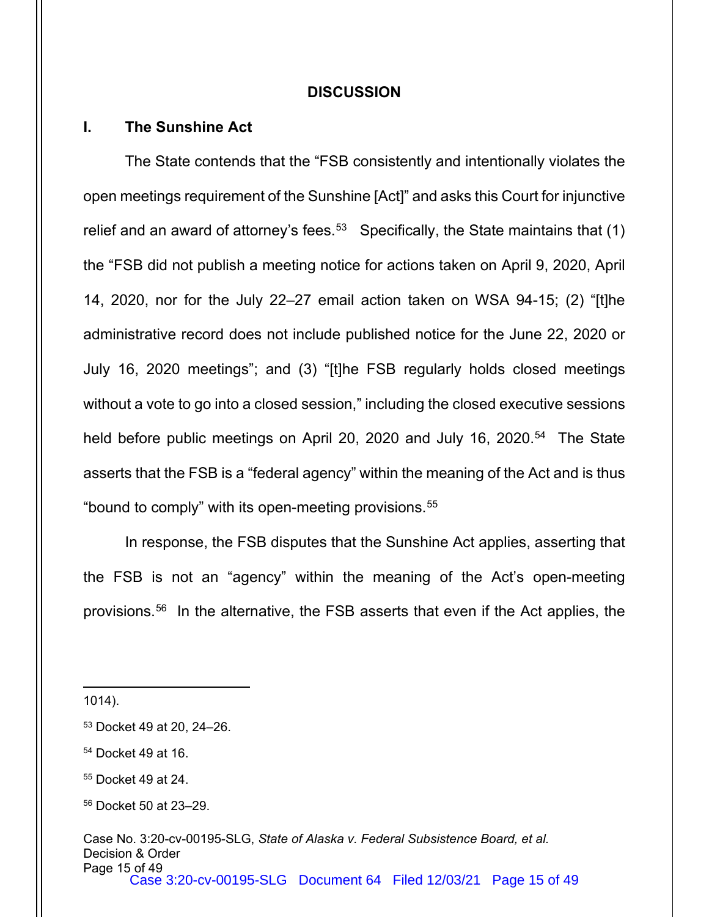#### **DISCUSSION**

#### **I. The Sunshine Act**

The State contends that the "FSB consistently and intentionally violates the open meetings requirement of the Sunshine [Act]" and asks this Court for injunctive relief and an award of attorney's fees. $^{\rm 53}$   $\,$  Specifically, the State maintains that (1) the "FSB did not publish a meeting notice for actions taken on April 9, 2020, April 14, 2020, nor for the July 22–27 email action taken on WSA 94-15; (2) "[t]he administrative record does not include published notice for the June 22, 2020 or July 16, 2020 meetings"; and (3) "[t]he FSB regularly holds closed meetings without a vote to go into a closed session," including the closed executive sessions held before public meetings on April 20, 2020 and July 16, 2020.<sup>[54](#page-14-1)</sup> The State asserts that the FSB is a "federal agency" within the meaning of the Act and is thus "bound to comply" with its open-meeting provisions.<sup>[55](#page-14-2)</sup>

In response, the FSB disputes that the Sunshine Act applies, asserting that the FSB is not an "agency" within the meaning of the Act's open-meeting provisions. [56](#page-14-3) In the alternative, the FSB asserts that even if the Act applies, the

1014).

<span id="page-14-0"></span><sup>53</sup> Docket 49 at 20, 24–26.

<span id="page-14-1"></span><sup>54</sup> Docket 49 at 16.

<span id="page-14-2"></span><sup>55</sup> Docket 49 at 24.

<span id="page-14-3"></span><sup>56</sup> Docket 50 at 23–29.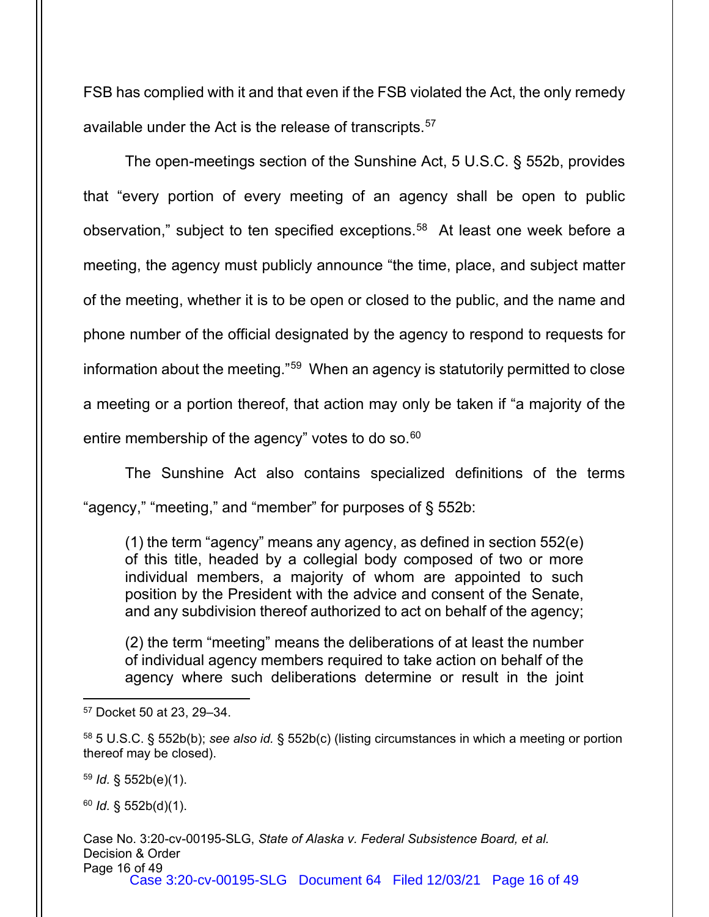FSB has complied with it and that even if the FSB violated the Act, the only remedy available under the Act is the release of transcripts. [57](#page-15-0)

The open-meetings section of the Sunshine Act, 5 U.S.C. § 552b, provides that "every portion of every meeting of an agency shall be open to public observation," subject to ten specified exceptions.<sup>[58](#page-15-1)</sup> At least one week before a meeting, the agency must publicly announce "the time, place, and subject matter of the meeting, whether it is to be open or closed to the public, and the name and phone number of the official designated by the agency to respond to requests for information about the meeting."[59](#page-15-2) When an agency is statutorily permitted to close a meeting or a portion thereof, that action may only be taken if "a majority of the entire membership of the agency" votes to do so. [60](#page-15-3)

The Sunshine Act also contains specialized definitions of the terms "agency," "meeting," and "member" for purposes of § 552b:

(1) the term "agency" means any agency, as defined in section 552(e) of this title, headed by a collegial body composed of two or more individual members, a majority of whom are appointed to such position by the President with the advice and consent of the Senate, and any subdivision thereof authorized to act on behalf of the agency;

(2) the term "meeting" means the deliberations of at least the number of individual agency members required to take action on behalf of the agency where such deliberations determine or result in the joint

<span id="page-15-2"></span><sup>59</sup> *Id.* § 552b(e)(1).

<span id="page-15-3"></span><sup>60</sup> *Id.* § 552b(d)(1).

Case No. 3:20-cv-00195-SLG, *State of Alaska v. Federal Subsistence Board, et al.* Decision & Order Page 16 of 49 Case 3:20-cv-00195-SLG Document 64 Filed 12/03/21 Page 16 of 49

<span id="page-15-0"></span><sup>57</sup> Docket 50 at 23, 29–34.

<span id="page-15-1"></span><sup>58</sup> 5 U.S.C. § 552b(b); *see also id.* § 552b(c) (listing circumstances in which a meeting or portion thereof may be closed).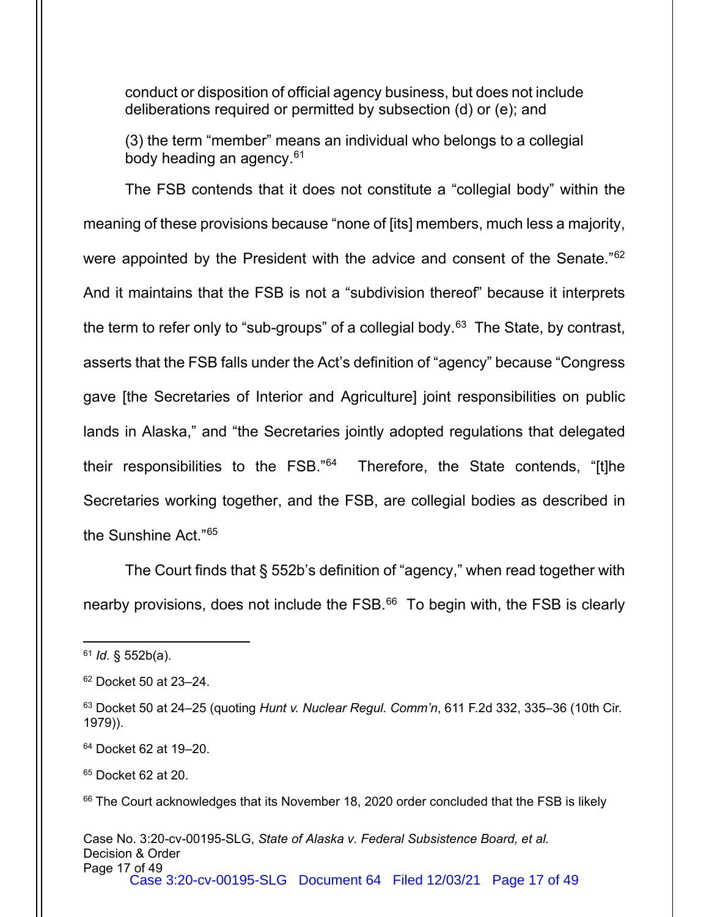conduct or disposition of official agency business, but does not include deliberations required or permitted by subsection (d) or (e); and

(3) the term "member" means an individual who belongs to a collegial body heading an agency.<sup>[61](#page-16-0)</sup>

The FSB contends that it does not constitute a "collegial body" within the meaning of these provisions because "none of [its] members, much less a majority, were appointed by the President with the advice and consent of the Senate."<sup>[62](#page-16-1)</sup> And it maintains that the FSB is not a "subdivision thereof" because it interprets the term to refer only to "sub-groups" of a collegial body.<sup>[63](#page-16-2)</sup> The State, by contrast, asserts that the FSB falls under the Act's definition of "agency" because "Congress gave [the Secretaries of Interior and Agriculture] joint responsibilities on public lands in Alaska," and "the Secretaries jointly adopted regulations that delegated their responsibilities to the FSB."[64](#page-16-3) Therefore, the State contends, "[t]he Secretaries working together, and the FSB, are collegial bodies as described in the Sunshine Act."[65](#page-16-4)

The Court finds that § 552b's definition of "agency," when read together with nearby provisions, does not include the FSB.<sup>[66](#page-16-5)</sup> To begin with, the FSB is clearly

<span id="page-16-0"></span><sup>61</sup> *Id.* § 552b(a).

<span id="page-16-1"></span><sup>62</sup> Docket 50 at 23–24.

<span id="page-16-2"></span><sup>63</sup> Docket 50 at 24–25 (quoting *Hunt v. Nuclear Regul. Comm'n*, 611 F.2d 332, 335–36 (10th Cir. 1979)).

<span id="page-16-3"></span><sup>64</sup> Docket 62 at 19–20.

<span id="page-16-4"></span><sup>65</sup> Docket 62 at 20.

<span id="page-16-5"></span><sup>&</sup>lt;sup>66</sup> The Court acknowledges that its November 18, 2020 order concluded that the FSB is likely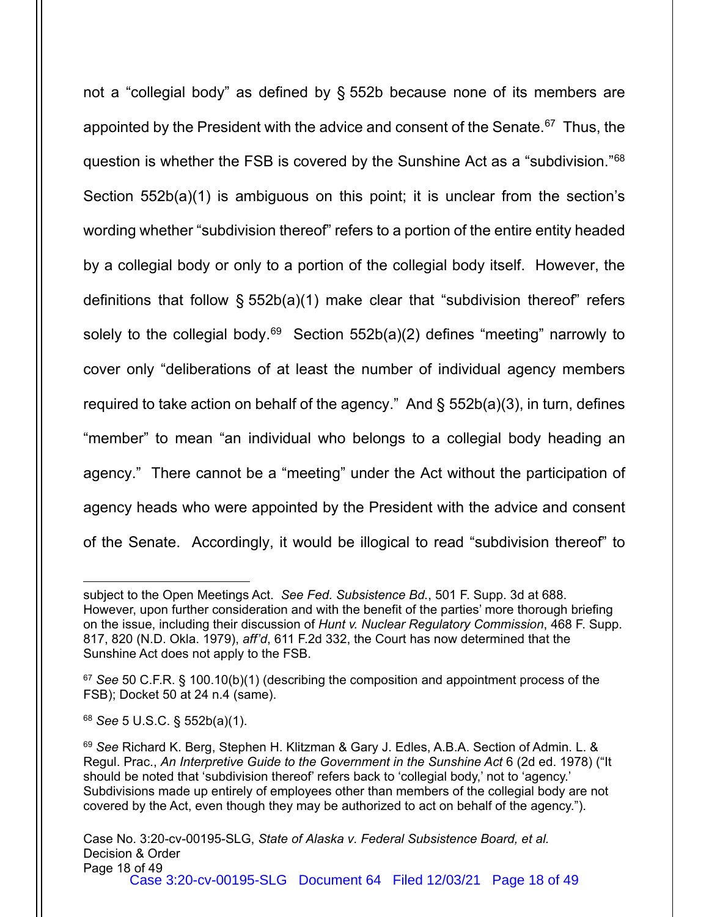not a "collegial body" as defined by § 552b because none of its members are appointed by the President with the advice and consent of the Senate.<sup>[67](#page-17-0)</sup> Thus, the question is whether the FSB is covered by the Sunshine Act as a "subdivision."[68](#page-17-1) Section 552b(a)(1) is ambiguous on this point; it is unclear from the section's wording whether "subdivision thereof" refers to a portion of the entire entity headed by a collegial body or only to a portion of the collegial body itself. However, the definitions that follow § 552b(a)(1) make clear that "subdivision thereof" refers solely to the collegial body.<sup>[69](#page-17-2)</sup> Section  $552b(a)(2)$  defines "meeting" narrowly to cover only "deliberations of at least the number of individual agency members required to take action on behalf of the agency." And § 552b(a)(3), in turn, defines "member" to mean "an individual who belongs to a collegial body heading an agency." There cannot be a "meeting" under the Act without the participation of agency heads who were appointed by the President with the advice and consent of the Senate. Accordingly, it would be illogical to read "subdivision thereof" to

subject to the Open Meetings Act. *See Fed. Subsistence Bd.*, 501 F. Supp. 3d at 688. However, upon further consideration and with the benefit of the parties' more thorough briefing on the issue, including their discussion of *Hunt v. Nuclear Regulatory Commission*, 468 F. Supp. 817, 820 (N.D. Okla. 1979), *aff'd*, 611 F.2d 332, the Court has now determined that the Sunshine Act does not apply to the FSB.

<span id="page-17-0"></span><sup>67</sup> *See* 50 C.F.R. § 100.10(b)(1) (describing the composition and appointment process of the FSB); Docket 50 at 24 n.4 (same).

<span id="page-17-1"></span><sup>68</sup> *See* 5 U.S.C. § 552b(a)(1).

<span id="page-17-2"></span><sup>69</sup> *See* Richard K. Berg, Stephen H. Klitzman & Gary J. Edles, A.B.A. Section of Admin. L. & Regul. Prac., *An Interpretive Guide to the Government in the Sunshine Act* 6 (2d ed. 1978) ("It should be noted that 'subdivision thereof' refers back to 'collegial body,' not to 'agency.' Subdivisions made up entirely of employees other than members of the collegial body are not covered by the Act, even though they may be authorized to act on behalf of the agency.").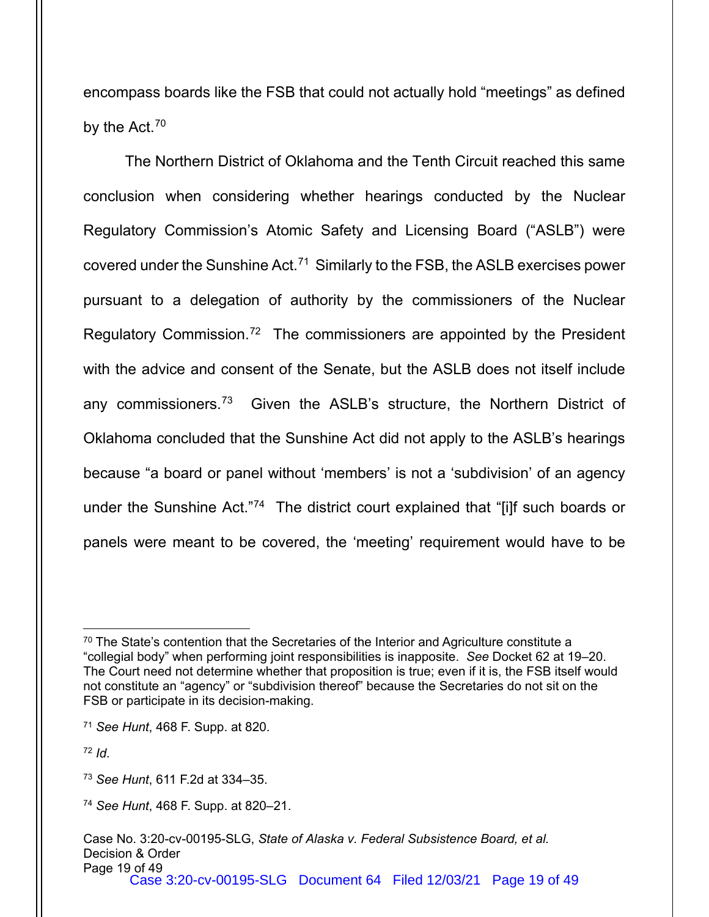encompass boards like the FSB that could not actually hold "meetings" as defined by the Act.<sup>[70](#page-18-0)</sup>

The Northern District of Oklahoma and the Tenth Circuit reached this same conclusion when considering whether hearings conducted by the Nuclear Regulatory Commission's Atomic Safety and Licensing Board ("ASLB") were covered under the Sunshine Act.[71](#page-18-1) Similarly to the FSB, the ASLB exercises power pursuant to a delegation of authority by the commissioners of the Nuclear Regulatory Commission.<sup>[72](#page-18-2)</sup> The commissioners are appointed by the President with the advice and consent of the Senate, but the ASLB does not itself include any commissioners.<sup>[73](#page-18-3)</sup> Given the ASLB's structure, the Northern District of Oklahoma concluded that the Sunshine Act did not apply to the ASLB's hearings because "a board or panel without 'members' is not a 'subdivision' of an agency under the Sunshine Act."[74](#page-18-4) The district court explained that "[i]f such boards or panels were meant to be covered, the 'meeting' requirement would have to be

<span id="page-18-1"></span><sup>71</sup> *See Hunt*, 468 F. Supp. at 820.

<span id="page-18-2"></span><sup>72</sup> *Id.*

<span id="page-18-0"></span><sup>&</sup>lt;sup>70</sup> The State's contention that the Secretaries of the Interior and Agriculture constitute a "collegial body" when performing joint responsibilities is inapposite. *See* Docket 62 at 19–20. The Court need not determine whether that proposition is true; even if it is, the FSB itself would not constitute an "agency" or "subdivision thereof" because the Secretaries do not sit on the FSB or participate in its decision-making.

<span id="page-18-3"></span><sup>73</sup> *See Hunt*, 611 F.2d at 334–35.

<span id="page-18-4"></span><sup>74</sup> *See Hunt*, 468 F. Supp. at 820–21.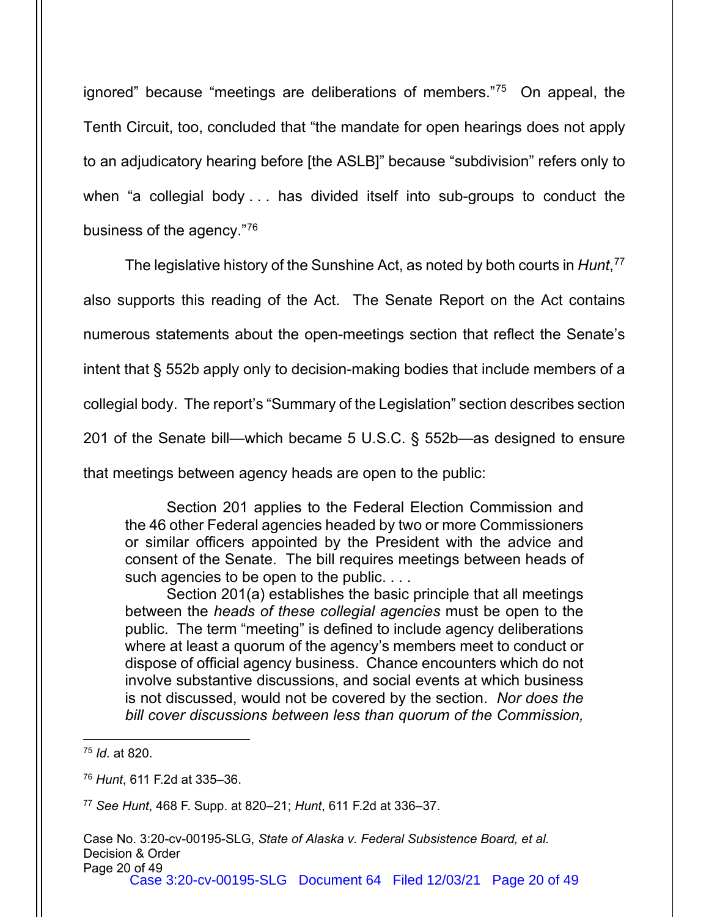ignored" because "meetings are deliberations of members."[75](#page-19-0) On appeal, the Tenth Circuit, too, concluded that "the mandate for open hearings does not apply to an adjudicatory hearing before [the ASLB]" because "subdivision" refers only to when "a collegial body . . . has divided itself into sub-groups to conduct the business of the agency.["76](#page-19-1)

The legislative history of the Sunshine Act, as noted by both courts in *Hunt*, [77](#page-19-2) also supports this reading of the Act. The Senate Report on the Act contains numerous statements about the open-meetings section that reflect the Senate's intent that § 552b apply only to decision-making bodies that include members of a collegial body. The report's "Summary of the Legislation" section describes section 201 of the Senate bill—which became 5 U.S.C. § 552b—as designed to ensure that meetings between agency heads are open to the public:

Section 201 applies to the Federal Election Commission and the 46 other Federal agencies headed by two or more Commissioners or similar officers appointed by the President with the advice and consent of the Senate. The bill requires meetings between heads of such agencies to be open to the public. . . .

Section 201(a) establishes the basic principle that all meetings between the *heads of these collegial agencies* must be open to the public. The term "meeting" is defined to include agency deliberations where at least a quorum of the agency's members meet to conduct or dispose of official agency business. Chance encounters which do not involve substantive discussions, and social events at which business is not discussed, would not be covered by the section. *Nor does the bill cover discussions between less than quorum of the Commission,* 

<span id="page-19-2"></span><sup>77</sup> *See Hunt*, 468 F. Supp. at 820–21; *Hunt*, 611 F.2d at 336–37.

<span id="page-19-0"></span><sup>75</sup> *Id.* at 820.

<span id="page-19-1"></span><sup>76</sup> *Hunt*, 611 F.2d at 335–36.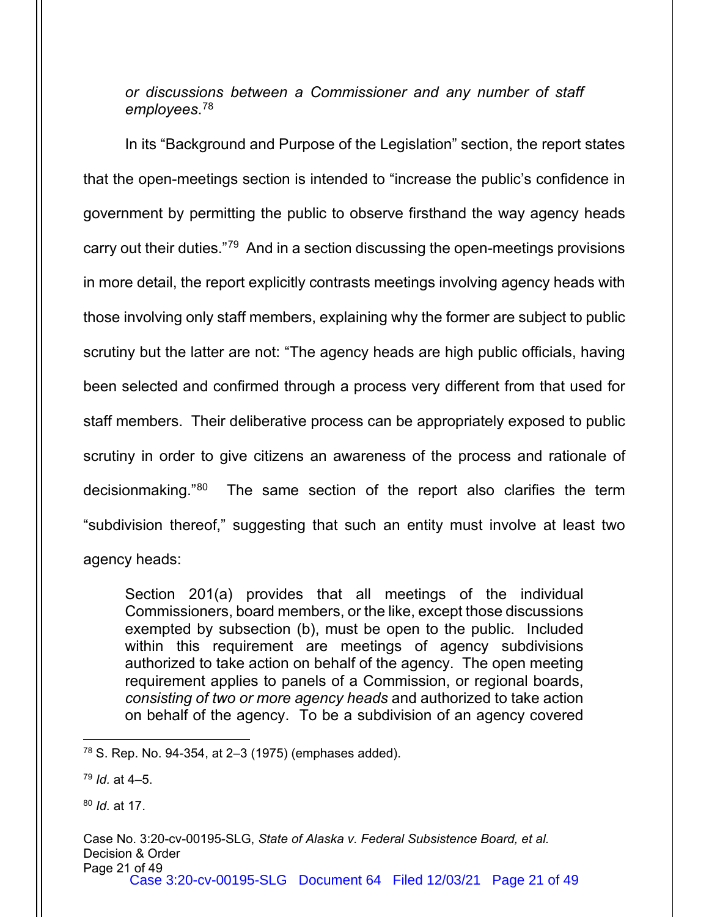### *or discussions between a Commissioner and any number of staff employees*. [78](#page-20-0)

In its "Background and Purpose of the Legislation" section, the report states that the open-meetings section is intended to "increase the public's confidence in government by permitting the public to observe firsthand the way agency heads carry out their duties."[79](#page-20-1) And in a section discussing the open-meetings provisions in more detail, the report explicitly contrasts meetings involving agency heads with those involving only staff members, explaining why the former are subject to public scrutiny but the latter are not: "The agency heads are high public officials, having been selected and confirmed through a process very different from that used for staff members. Their deliberative process can be appropriately exposed to public scrutiny in order to give citizens an awareness of the process and rationale of decisionmaking."[80](#page-20-2) The same section of the report also clarifies the term "subdivision thereof," suggesting that such an entity must involve at least two agency heads:

Section 201(a) provides that all meetings of the individual Commissioners, board members, or the like, except those discussions exempted by subsection (b), must be open to the public. Included within this requirement are meetings of agency subdivisions authorized to take action on behalf of the agency. The open meeting requirement applies to panels of a Commission, or regional boards, *consisting of two or more agency heads* and authorized to take action on behalf of the agency. To be a subdivision of an agency covered

<span id="page-20-2"></span><sup>80</sup> *Id.* at 17.

<span id="page-20-0"></span><sup>78</sup> S. Rep. No. 94-354, at 2–3 (1975) (emphases added).

<span id="page-20-1"></span><sup>79</sup> *Id.* at 4–5.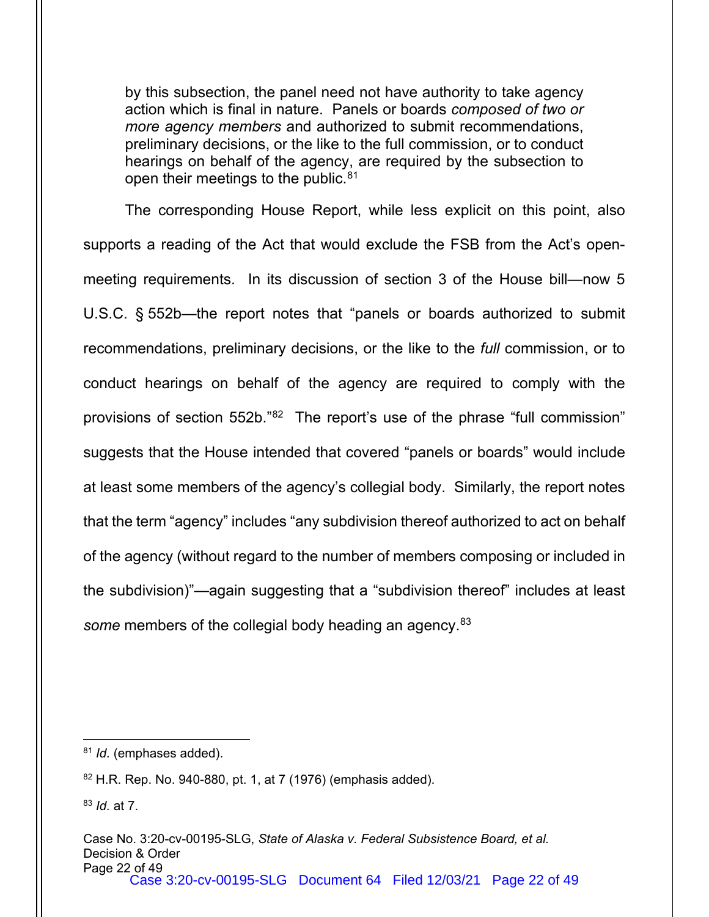by this subsection, the panel need not have authority to take agency action which is final in nature. Panels or boards *composed of two or more agency members* and authorized to submit recommendations, preliminary decisions, or the like to the full commission, or to conduct hearings on behalf of the agency, are required by the subsection to open their meetings to the public.<sup>[81](#page-21-0)</sup>

The corresponding House Report, while less explicit on this point, also supports a reading of the Act that would exclude the FSB from the Act's openmeeting requirements. In its discussion of section 3 of the House bill—now 5 U.S.C. § 552b—the report notes that "panels or boards authorized to submit recommendations, preliminary decisions, or the like to the *full* commission, or to conduct hearings on behalf of the agency are required to comply with the provisions of section 552b."[82](#page-21-1) The report's use of the phrase "full commission" suggests that the House intended that covered "panels or boards" would include at least some members of the agency's collegial body. Similarly, the report notes that the term "agency" includes "any subdivision thereof authorized to act on behalf of the agency (without regard to the number of members composing or included in the subdivision)"—again suggesting that a "subdivision thereof" includes at least some members of the collegial body heading an agency.<sup>[83](#page-21-2)</sup>

<span id="page-21-0"></span><sup>81</sup> *Id.* (emphases added).

<span id="page-21-1"></span><sup>82</sup> H.R. Rep. No. 940-880, pt. 1, at 7 (1976) (emphasis added).

<span id="page-21-2"></span><sup>83</sup> *Id.* at 7.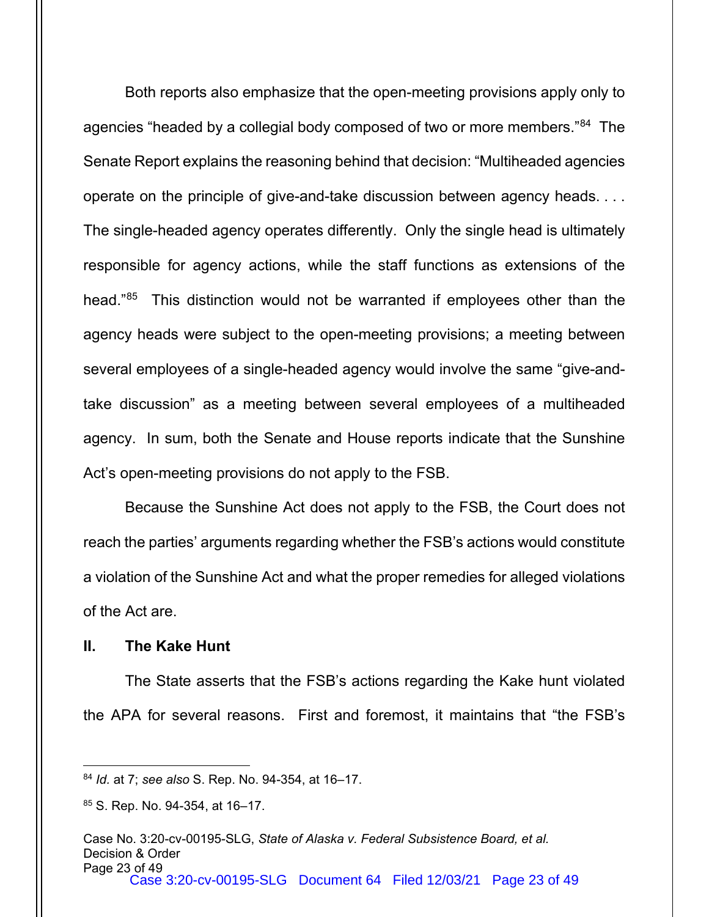Both reports also emphasize that the open-meeting provisions apply only to agencies "headed by a collegial body composed of two or more members."<sup>84</sup> The Senate Report explains the reasoning behind that decision: "Multiheaded agencies operate on the principle of give-and-take discussion between agency heads. . . . The single-headed agency operates differently. Only the single head is ultimately responsible for agency actions, while the staff functions as extensions of the head."[85](#page-22-1) This distinction would not be warranted if employees other than the agency heads were subject to the open-meeting provisions; a meeting between several employees of a single-headed agency would involve the same "give-andtake discussion" as a meeting between several employees of a multiheaded agency. In sum, both the Senate and House reports indicate that the Sunshine Act's open-meeting provisions do not apply to the FSB.

Because the Sunshine Act does not apply to the FSB, the Court does not reach the parties' arguments regarding whether the FSB's actions would constitute a violation of the Sunshine Act and what the proper remedies for alleged violations of the Act are.

#### **II. The Kake Hunt**

The State asserts that the FSB's actions regarding the Kake hunt violated the APA for several reasons. First and foremost, it maintains that "the FSB's

<span id="page-22-0"></span><sup>84</sup> *Id.* at 7; *see also* S. Rep. No. 94-354, at 16–17.

<span id="page-22-1"></span><sup>85</sup> S. Rep. No. 94-354, at 16-17.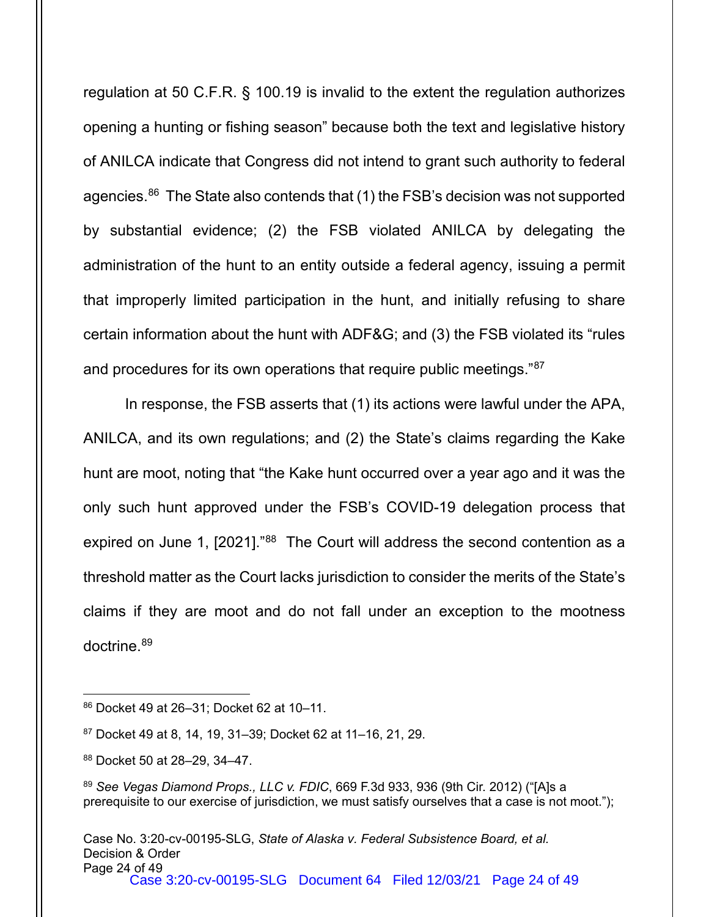regulation at 50 C.F.R. § 100.19 is invalid to the extent the regulation authorizes opening a hunting or fishing season" because both the text and legislative history of ANILCA indicate that Congress did not intend to grant such authority to federal agencies.<sup>86</sup> The State also contends that (1) the FSB's decision was not supported by substantial evidence; (2) the FSB violated ANILCA by delegating the administration of the hunt to an entity outside a federal agency, issuing a permit that improperly limited participation in the hunt, and initially refusing to share certain information about the hunt with ADF&G; and (3) the FSB violated its "rules and procedures for its own operations that require public meetings."[87](#page-23-1)

In response, the FSB asserts that (1) its actions were lawful under the APA, ANILCA, and its own regulations; and (2) the State's claims regarding the Kake hunt are moot, noting that "the Kake hunt occurred over a year ago and it was the only such hunt approved under the FSB's COVID-19 delegation process that expired on June 1, [2021]."[88](#page-23-2) The Court will address the second contention as a threshold matter as the Court lacks jurisdiction to consider the merits of the State's claims if they are moot and do not fall under an exception to the mootness doctrine.[89](#page-23-3)

<span id="page-23-2"></span><sup>88</sup> Docket 50 at 28–29, 34–47.

<span id="page-23-0"></span><sup>86</sup> Docket 49 at 26–31; Docket 62 at 10–11.

<span id="page-23-1"></span><sup>87</sup> Docket 49 at 8, 14, 19, 31–39; Docket 62 at 11–16, 21, 29.

<span id="page-23-3"></span><sup>89</sup> *See Vegas Diamond Props., LLC v. FDIC*, 669 F.3d 933, 936 (9th Cir. 2012) ("[A]s a prerequisite to our exercise of jurisdiction, we must satisfy ourselves that a case is not moot.");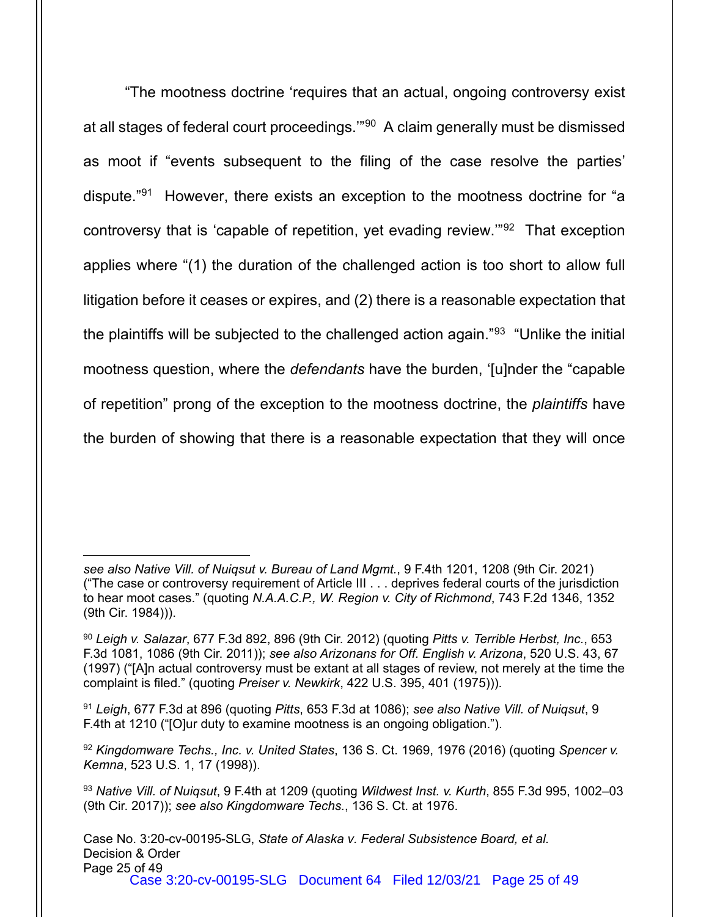"The mootness doctrine 'requires that an actual, ongoing controversy exist at all stages of federal court proceedings.'"[90](#page-24-0) A claim generally must be dismissed as moot if "events subsequent to the filing of the case resolve the parties' dispute."[91](#page-24-1) However, there exists an exception to the mootness doctrine for "a controversy that is 'capable of repetition, yet evading review.'"[92](#page-24-2) That exception applies where "(1) the duration of the challenged action is too short to allow full litigation before it ceases or expires, and (2) there is a reasonable expectation that the plaintiffs will be subjected to the challenged action again."<sup>93</sup> "Unlike the initial mootness question, where the *defendants* have the burden, '[u]nder the "capable of repetition" prong of the exception to the mootness doctrine, the *plaintiffs* have the burden of showing that there is a reasonable expectation that they will once

*see also Native Vill. of Nuiqsut v. Bureau of Land Mgmt.*, 9 F.4th 1201, 1208 (9th Cir. 2021) ("The case or controversy requirement of Article III . . . deprives federal courts of the jurisdiction to hear moot cases." (quoting *N.A.A.C.P., W. Region v. City of Richmond*, 743 F.2d 1346, 1352 (9th Cir. 1984))).

<span id="page-24-0"></span><sup>90</sup> *Leigh v. Salazar*, 677 F.3d 892, 896 (9th Cir. 2012) (quoting *Pitts v. Terrible Herbst, Inc.*, 653 F.3d 1081, 1086 (9th Cir. 2011)); *see also Arizonans for Off. English v. Arizona*, 520 U.S. 43, 67 (1997) ("[A]n actual controversy must be extant at all stages of review, not merely at the time the complaint is filed." (quoting *Preiser v. Newkirk*, 422 U.S. 395, 401 (1975))).

<span id="page-24-1"></span><sup>91</sup> *Leigh*, 677 F.3d at 896 (quoting *Pitts*, 653 F.3d at 1086); *see also Native Vill. of Nuiqsut*, 9 F.4th at 1210 ("[O]ur duty to examine mootness is an ongoing obligation.").

<span id="page-24-2"></span><sup>92</sup> *Kingdomware Techs., Inc. v. United States*, 136 S. Ct. 1969, 1976 (2016) (quoting *Spencer v. Kemna*, 523 U.S. 1, 17 (1998)).

<span id="page-24-3"></span><sup>93</sup> *Native Vill. of Nuiqsut*, 9 F.4th at 1209 (quoting *Wildwest Inst. v. Kurth*, 855 F.3d 995, 1002–03 (9th Cir. 2017)); *see also Kingdomware Techs.*, 136 S. Ct. at 1976.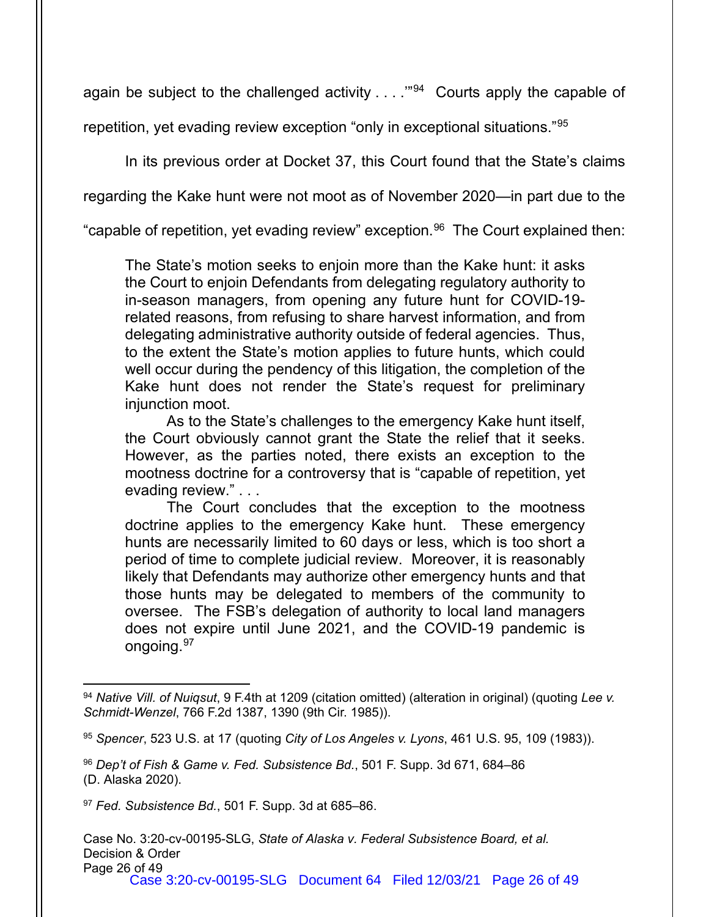again be subject to the challenged activity  $\ldots$ ."<sup>94</sup> Courts apply the capable of

repetition, yet evading review exception "only in exceptional situations."[95](#page-25-1)

In its previous order at Docket 37, this Court found that the State's claims

regarding the Kake hunt were not moot as of November 2020—in part due to the

"capable of repetition, yet evading review" exception.<sup>[96](#page-25-2)</sup> The Court explained then:

The State's motion seeks to enjoin more than the Kake hunt: it asks the Court to enjoin Defendants from delegating regulatory authority to in-season managers, from opening any future hunt for COVID-19 related reasons, from refusing to share harvest information, and from delegating administrative authority outside of federal agencies. Thus, to the extent the State's motion applies to future hunts, which could well occur during the pendency of this litigation, the completion of the Kake hunt does not render the State's request for preliminary injunction moot.

As to the State's challenges to the emergency Kake hunt itself, the Court obviously cannot grant the State the relief that it seeks. However, as the parties noted, there exists an exception to the mootness doctrine for a controversy that is "capable of repetition, yet evading review." . . .

The Court concludes that the exception to the mootness doctrine applies to the emergency Kake hunt. These emergency hunts are necessarily limited to 60 days or less, which is too short a period of time to complete judicial review. Moreover, it is reasonably likely that Defendants may authorize other emergency hunts and that those hunts may be delegated to members of the community to oversee. The FSB's delegation of authority to local land managers does not expire until June 2021, and the COVID-19 pandemic is ongoing[.97](#page-25-3)

<span id="page-25-0"></span><sup>94</sup> *Native Vill. of Nuiqsut*, 9 F.4th at 1209 (citation omitted) (alteration in original) (quoting *Lee v. Schmidt-Wenzel*, 766 F.2d 1387, 1390 (9th Cir. 1985)).

<span id="page-25-1"></span><sup>95</sup> *Spencer*, 523 U.S. at 17 (quoting *City of Los Angeles v. Lyons*, 461 U.S. 95, 109 (1983)).

<span id="page-25-2"></span><sup>96</sup> *Dep't of Fish & Game v. Fed. Subsistence Bd.*, 501 F. Supp. 3d 671, 684–86 (D. Alaska 2020).

<span id="page-25-3"></span><sup>97</sup> *Fed. Subsistence Bd.*, 501 F. Supp. 3d at 685–86.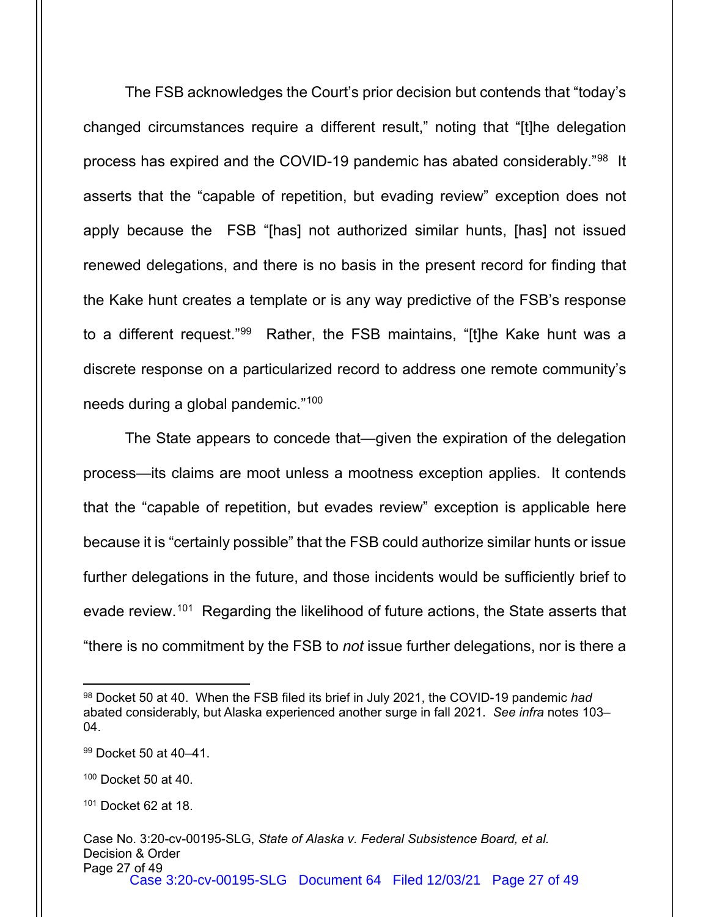The FSB acknowledges the Court's prior decision but contends that "today's changed circumstances require a different result," noting that "[t]he delegation process has expired and the COVID-19 pandemic has abated considerably."[98](#page-26-0) It asserts that the "capable of repetition, but evading review" exception does not apply because the FSB "[has] not authorized similar hunts, [has] not issued renewed delegations, and there is no basis in the present record for finding that the Kake hunt creates a template or is any way predictive of the FSB's response to a different request."[99](#page-26-1) Rather, the FSB maintains, "[t]he Kake hunt was a discrete response on a particularized record to address one remote community's needs during a global pandemic."[100](#page-26-2)

The State appears to concede that—given the expiration of the delegation process—its claims are moot unless a mootness exception applies. It contends that the "capable of repetition, but evades review" exception is applicable here because it is "certainly possible" that the FSB could authorize similar hunts or issue further delegations in the future, and those incidents would be sufficiently brief to evade review.[101](#page-26-3) Regarding the likelihood of future actions, the State asserts that "there is no commitment by the FSB to *not* issue further delegations, nor is there a

<span id="page-26-0"></span><sup>98</sup> Docket 50 at 40. When the FSB filed its brief in July 2021, the COVID-19 pandemic *had*  abated considerably, but Alaska experienced another surge in fall 2021. *See infra* notes 103– 04.

<span id="page-26-1"></span><sup>99</sup> Docket 50 at 40–41.

<span id="page-26-2"></span><sup>100</sup> Docket 50 at 40.

<span id="page-26-3"></span><sup>101</sup> Docket 62 at 18.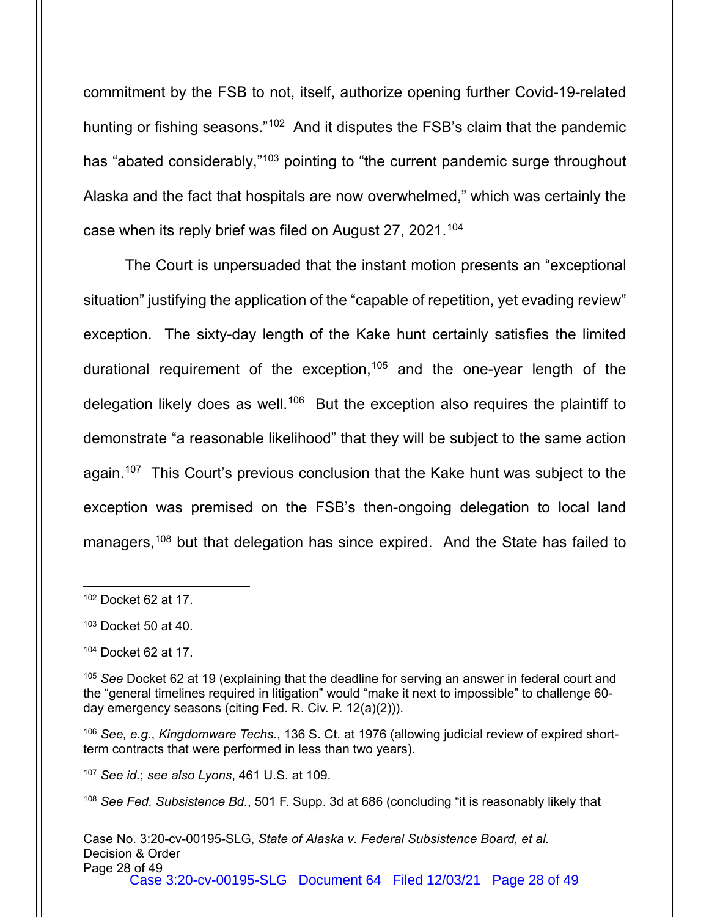commitment by the FSB to not, itself, authorize opening further Covid-19-related hunting or fishing seasons."<sup>[102](#page-27-0)</sup> And it disputes the FSB's claim that the pandemic has "abated considerably,"<sup>[103](#page-27-1)</sup> pointing to "the current pandemic surge throughout Alaska and the fact that hospitals are now overwhelmed," which was certainly the case when its reply brief was filed on August 27, 2021.<sup>[104](#page-27-2)</sup>

The Court is unpersuaded that the instant motion presents an "exceptional situation" justifying the application of the "capable of repetition, yet evading review" exception. The sixty-day length of the Kake hunt certainly satisfies the limited durational requirement of the exception,<sup>[105](#page-27-3)</sup> and the one-year length of the delegation likely does as well.<sup>106</sup> But the exception also requires the plaintiff to demonstrate "a reasonable likelihood" that they will be subject to the same action again. [107](#page-27-5) This Court's previous conclusion that the Kake hunt was subject to the exception was premised on the FSB's then-ongoing delegation to local land managers, [108](#page-27-6) but that delegation has since expired. And the State has failed to

<span id="page-27-5"></span><sup>107</sup> *See id.*; *see also Lyons*, 461 U.S. at 109.

<span id="page-27-6"></span><sup>108</sup> *See Fed. Subsistence Bd.*, 501 F. Supp. 3d at 686 (concluding "it is reasonably likely that

<span id="page-27-0"></span><sup>102</sup> Docket 62 at 17.

<span id="page-27-1"></span> $103$  Docket 50 at 40.

<span id="page-27-2"></span><sup>104</sup> Docket 62 at 17.

<span id="page-27-3"></span><sup>105</sup> *See* Docket 62 at 19 (explaining that the deadline for serving an answer in federal court and the "general timelines required in litigation" would "make it next to impossible" to challenge 60 day emergency seasons (citing Fed. R. Civ. P. 12(a)(2))).

<span id="page-27-4"></span><sup>106</sup> *See, e.g.*, *Kingdomware Techs.*, 136 S. Ct. at 1976 (allowing judicial review of expired shortterm contracts that were performed in less than two years).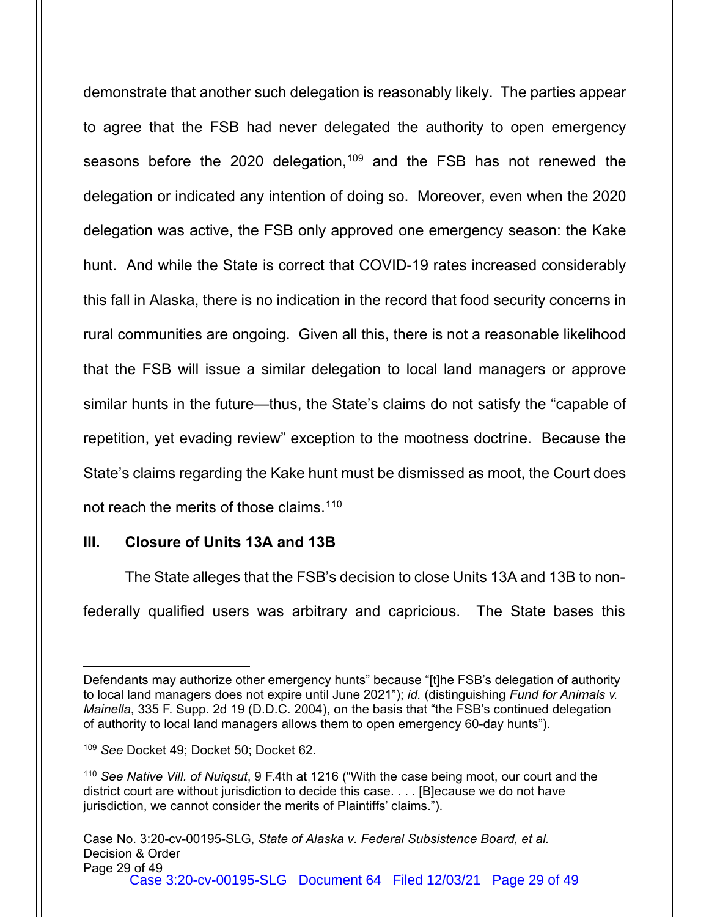demonstrate that another such delegation is reasonably likely. The parties appear to agree that the FSB had never delegated the authority to open emergency seasons before the 2020 delegation,<sup>[109](#page-28-0)</sup> and the FSB has not renewed the delegation or indicated any intention of doing so. Moreover, even when the 2020 delegation was active, the FSB only approved one emergency season: the Kake hunt. And while the State is correct that COVID-19 rates increased considerably this fall in Alaska, there is no indication in the record that food security concerns in rural communities are ongoing. Given all this, there is not a reasonable likelihood that the FSB will issue a similar delegation to local land managers or approve similar hunts in the future—thus, the State's claims do not satisfy the "capable of repetition, yet evading review" exception to the mootness doctrine. Because the State's claims regarding the Kake hunt must be dismissed as moot, the Court does not reach the merits of those claims.<sup>[110](#page-28-1)</sup>

## **III. Closure of Units 13A and 13B**

The State alleges that the FSB's decision to close Units 13A and 13B to nonfederally qualified users was arbitrary and capricious. The State bases this

Defendants may authorize other emergency hunts" because "[t]he FSB's delegation of authority to local land managers does not expire until June 2021"); *id.* (distinguishing *Fund for Animals v. Mainella*, 335 F. Supp. 2d 19 (D.D.C. 2004), on the basis that "the FSB's continued delegation of authority to local land managers allows them to open emergency 60-day hunts").

<span id="page-28-0"></span><sup>109</sup> *See* Docket 49; Docket 50; Docket 62.

<span id="page-28-1"></span><sup>110</sup> *See Native Vill. of Nuiqsut*, 9 F.4th at 1216 ("With the case being moot, our court and the district court are without jurisdiction to decide this case. . . . [B]ecause we do not have jurisdiction, we cannot consider the merits of Plaintiffs' claims.").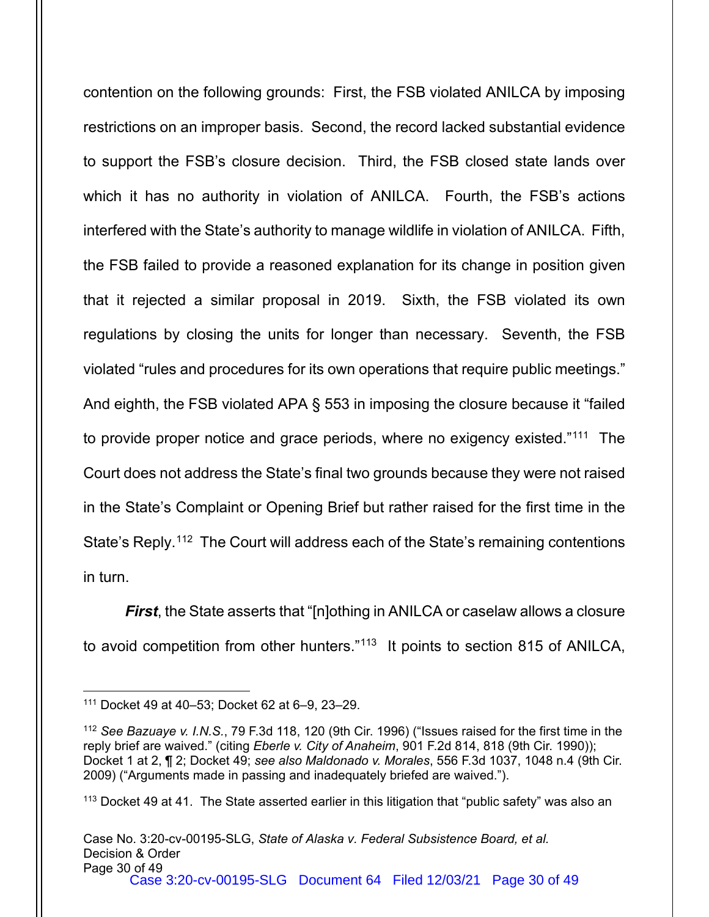contention on the following grounds: First, the FSB violated ANILCA by imposing restrictions on an improper basis. Second, the record lacked substantial evidence to support the FSB's closure decision. Third, the FSB closed state lands over which it has no authority in violation of ANILCA. Fourth, the FSB's actions interfered with the State's authority to manage wildlife in violation of ANILCA. Fifth, the FSB failed to provide a reasoned explanation for its change in position given that it rejected a similar proposal in 2019. Sixth, the FSB violated its own regulations by closing the units for longer than necessary. Seventh, the FSB violated "rules and procedures for its own operations that require public meetings." And eighth, the FSB violated APA § 553 in imposing the closure because it "failed to provide proper notice and grace periods, where no exigency existed.["111](#page-29-0) The Court does not address the State's final two grounds because they were not raised in the State's Complaint or Opening Brief but rather raised for the first time in the State's Reply.<sup>[112](#page-29-1)</sup> The Court will address each of the State's remaining contentions in turn.

*First*, the State asserts that "[n]othing in ANILCA or caselaw allows a closure to avoid competition from other hunters."[113](#page-29-2) It points to section 815 of ANILCA,

<span id="page-29-2"></span><sup>113</sup> Docket 49 at 41. The State asserted earlier in this litigation that "public safety" was also an

<span id="page-29-0"></span><sup>111</sup> Docket 49 at 40–53; Docket 62 at 6–9, 23–29.

<span id="page-29-1"></span><sup>112</sup> *See Bazuaye v. I.N.S.*, 79 F.3d 118, 120 (9th Cir. 1996) ("Issues raised for the first time in the reply brief are waived." (citing *Eberle v. City of Anaheim*, 901 F.2d 814, 818 (9th Cir. 1990)); Docket 1 at 2, ¶ 2; Docket 49; *see also Maldonado v. Morales*, 556 F.3d 1037, 1048 n.4 (9th Cir. 2009) ("Arguments made in passing and inadequately briefed are waived.").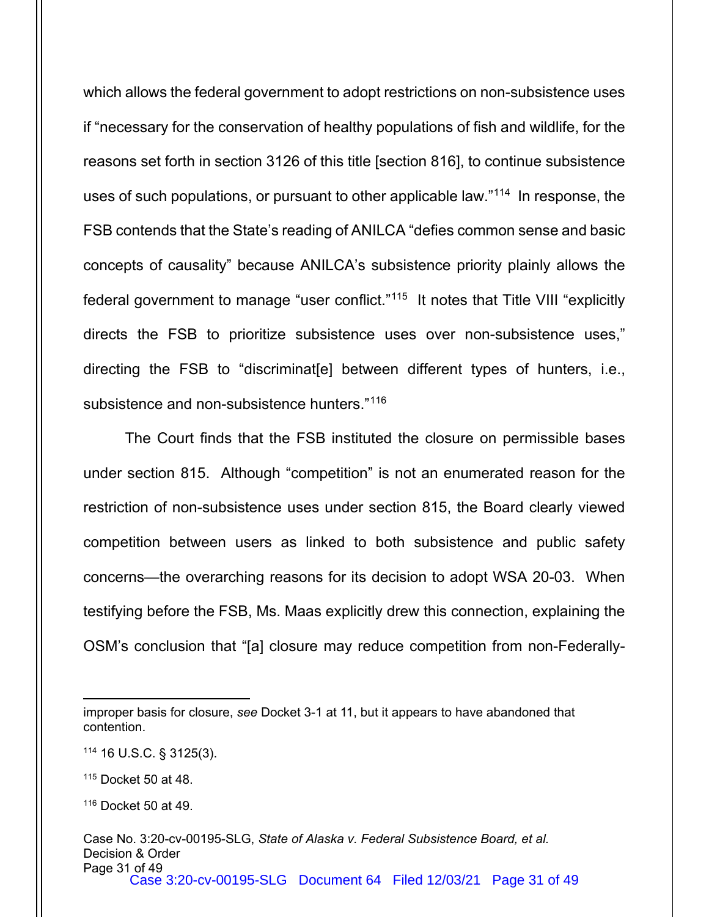which allows the federal government to adopt restrictions on non-subsistence uses if "necessary for the conservation of healthy populations of fish and wildlife, for the reasons set forth in section 3126 of this title [section 816], to continue subsistence uses of such populations, or pursuant to other applicable law."[114](#page-30-0) In response, the FSB contends that the State's reading of ANILCA "defies common sense and basic concepts of causality" because ANILCA's subsistence priority plainly allows the federal government to manage "user conflict."[115](#page-30-1) It notes that Title VIII "explicitly directs the FSB to prioritize subsistence uses over non-subsistence uses," directing the FSB to "discriminat[e] between different types of hunters, i.e., subsistence and non-subsistence hunters."[116](#page-30-2)

The Court finds that the FSB instituted the closure on permissible bases under section 815. Although "competition" is not an enumerated reason for the restriction of non-subsistence uses under section 815, the Board clearly viewed competition between users as linked to both subsistence and public safety concerns—the overarching reasons for its decision to adopt WSA 20-03. When testifying before the FSB, Ms. Maas explicitly drew this connection, explaining the OSM's conclusion that "[a] closure may reduce competition from non-Federally-

<span id="page-30-0"></span><sup>114</sup> 16 U.S.C. § 3125(3).

improper basis for closure, *see* Docket 3-1 at 11, but it appears to have abandoned that contention.

<span id="page-30-1"></span><sup>115</sup> Docket 50 at 48.

<span id="page-30-2"></span><sup>116</sup> Docket 50 at 49.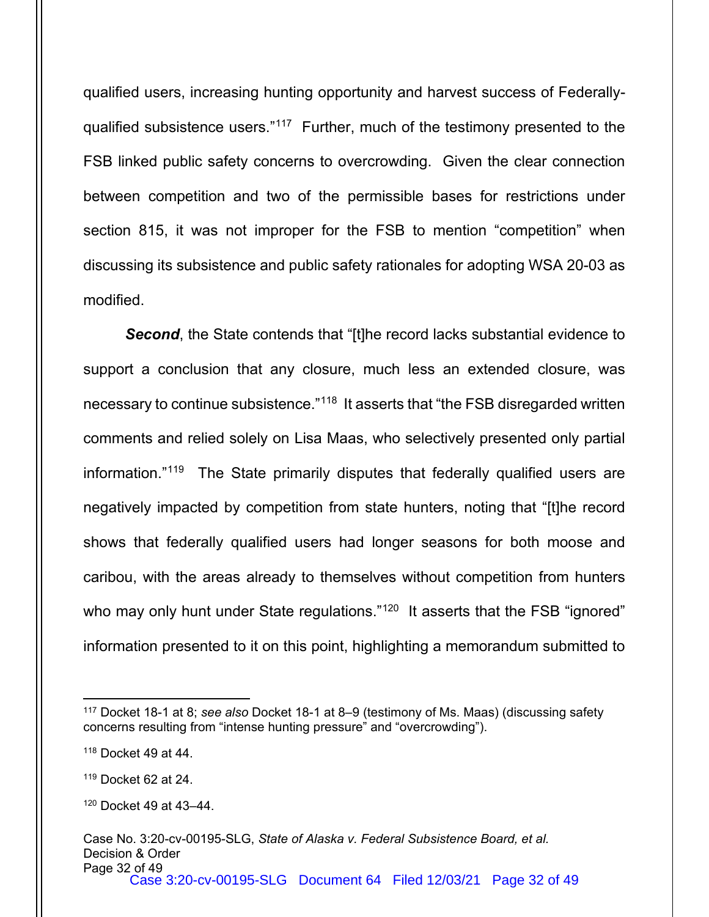qualified users, increasing hunting opportunity and harvest success of Federally-qualified subsistence users."<sup>[117](#page-31-0)</sup> Further, much of the testimony presented to the FSB linked public safety concerns to overcrowding. Given the clear connection between competition and two of the permissible bases for restrictions under section 815, it was not improper for the FSB to mention "competition" when discussing its subsistence and public safety rationales for adopting WSA 20-03 as modified.

**Second**, the State contends that "[t]he record lacks substantial evidence to support a conclusion that any closure, much less an extended closure, was necessary to continue subsistence."[118](#page-31-1) It asserts that "the FSB disregarded written comments and relied solely on Lisa Maas, who selectively presented only partial information."[119](#page-31-2) The State primarily disputes that federally qualified users are negatively impacted by competition from state hunters, noting that "[t]he record shows that federally qualified users had longer seasons for both moose and caribou, with the areas already to themselves without competition from hunters who may only hunt under State regulations."<sup>120</sup> It asserts that the FSB "ignored" information presented to it on this point, highlighting a memorandum submitted to

<span id="page-31-0"></span><sup>117</sup> Docket 18-1 at 8; *see also* Docket 18-1 at 8–9 (testimony of Ms. Maas) (discussing safety concerns resulting from "intense hunting pressure" and "overcrowding").

<span id="page-31-1"></span><sup>118</sup> Docket 49 at 44.

<span id="page-31-2"></span><sup>119</sup> Docket 62 at 24.

<span id="page-31-3"></span><sup>120</sup> Docket 49 at 43–44.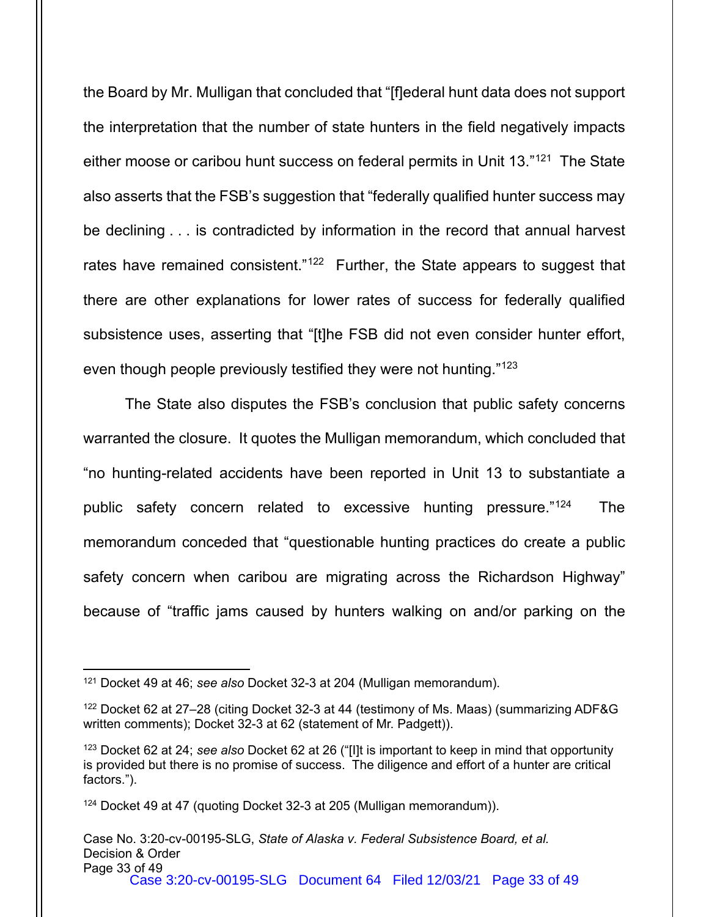the Board by Mr. Mulligan that concluded that "[f]ederal hunt data does not support the interpretation that the number of state hunters in the field negatively impacts either moose or caribou hunt success on federal permits in Unit 13."[121](#page-32-0) The State also asserts that the FSB's suggestion that "federally qualified hunter success may be declining . . . is contradicted by information in the record that annual harvest rates have remained consistent." $122$  Further, the State appears to suggest that there are other explanations for lower rates of success for federally qualified subsistence uses, asserting that "[t]he FSB did not even consider hunter effort, even though people previously testified they were not hunting."<sup>[123](#page-32-2)</sup>

The State also disputes the FSB's conclusion that public safety concerns warranted the closure. It quotes the Mulligan memorandum, which concluded that "no hunting-related accidents have been reported in Unit 13 to substantiate a public safety concern related to excessive hunting pressure."<sup>124</sup> The memorandum conceded that "questionable hunting practices do create a public safety concern when caribou are migrating across the Richardson Highway" because of "traffic jams caused by hunters walking on and/or parking on the

<span id="page-32-0"></span><sup>121</sup> Docket 49 at 46; *see also* Docket 32-3 at 204 (Mulligan memorandum).

<span id="page-32-1"></span><sup>122</sup> Docket 62 at 27–28 (citing Docket 32-3 at 44 (testimony of Ms. Maas) (summarizing ADF&G written comments); Docket 32-3 at 62 (statement of Mr. Padgett)).

<span id="page-32-2"></span><sup>123</sup> Docket 62 at 24; *see also* Docket 62 at 26 ("[I]t is important to keep in mind that opportunity is provided but there is no promise of success. The diligence and effort of a hunter are critical factors.").

<span id="page-32-3"></span><sup>124</sup> Docket 49 at 47 (quoting Docket 32-3 at 205 (Mulligan memorandum)).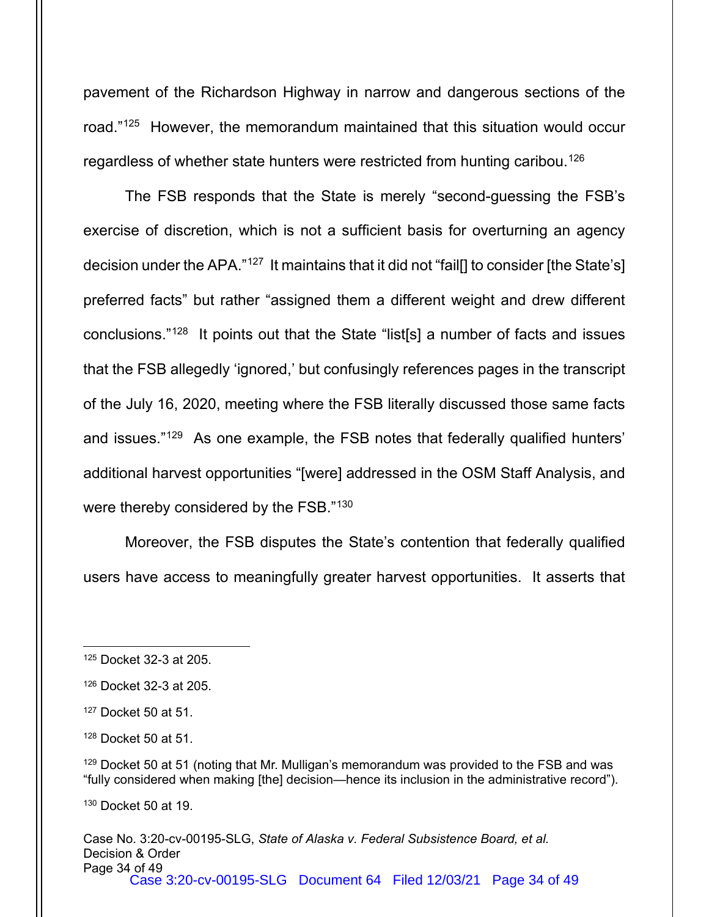pavement of the Richardson Highway in narrow and dangerous sections of the road.["125](#page-33-0) However, the memorandum maintained that this situation would occur regardless of whether state hunters were restricted from hunting caribou.<sup>[126](#page-33-1)</sup>

The FSB responds that the State is merely "second-guessing the FSB's exercise of discretion, which is not a sufficient basis for overturning an agency decision under the APA."<sup>127</sup> It maintains that it did not "fail<sup>[]</sup> to consider [the State's] preferred facts" but rather "assigned them a different weight and drew different conclusions."[128](#page-33-3) It points out that the State "list[s] a number of facts and issues that the FSB allegedly 'ignored,' but confusingly references pages in the transcript of the July 16, 2020, meeting where the FSB literally discussed those same facts and issues."[129](#page-33-4) As one example, the FSB notes that federally qualified hunters' additional harvest opportunities "[were] addressed in the OSM Staff Analysis, and were thereby considered by the FSB."[130](#page-33-5)

Moreover, the FSB disputes the State's contention that federally qualified users have access to meaningfully greater harvest opportunities. It asserts that

<span id="page-33-5"></span><sup>130</sup> Docket 50 at 19.

<span id="page-33-0"></span><sup>125</sup> Docket 32-3 at 205.

<span id="page-33-1"></span><sup>126</sup> Docket 32-3 at 205.

<span id="page-33-2"></span><sup>127</sup> Docket 50 at 51.

<span id="page-33-3"></span><sup>128</sup> Docket 50 at 51.

<span id="page-33-4"></span><sup>&</sup>lt;sup>129</sup> Docket 50 at 51 (noting that Mr. Mulligan's memorandum was provided to the FSB and was "fully considered when making [the] decision—hence its inclusion in the administrative record").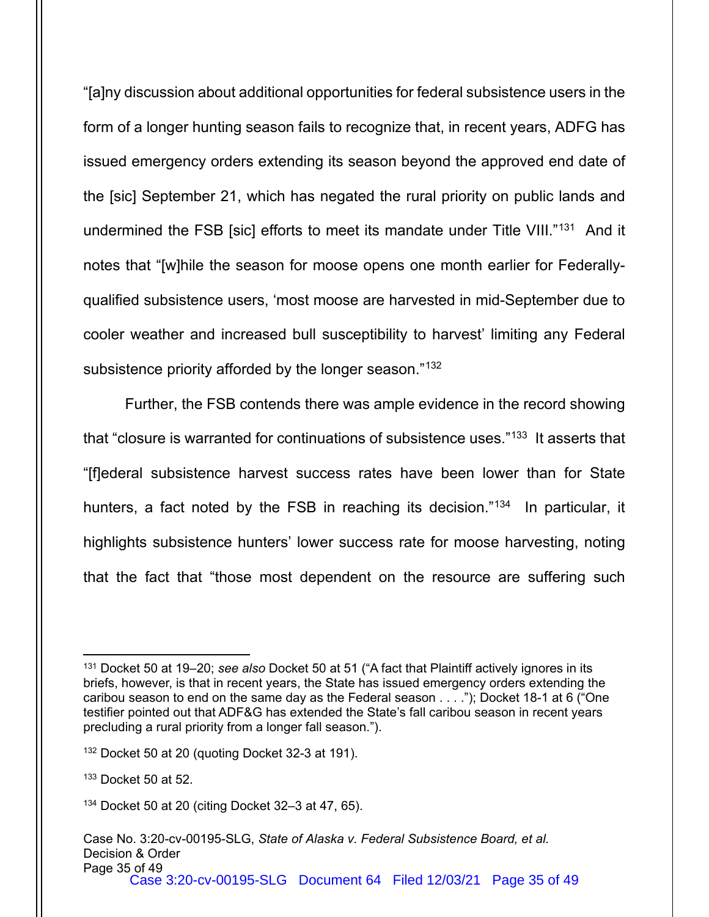"[a]ny discussion about additional opportunities for federal subsistence users in the form of a longer hunting season fails to recognize that, in recent years, ADFG has issued emergency orders extending its season beyond the approved end date of the [sic] September 21, which has negated the rural priority on public lands and undermined the FSB [sic] efforts to meet its mandate under Title VIII."[131](#page-34-0) And it notes that "[w]hile the season for moose opens one month earlier for Federallyqualified subsistence users, 'most moose are harvested in mid-September due to cooler weather and increased bull susceptibility to harvest' limiting any Federal subsistence priority afforded by the longer season."<sup>[132](#page-34-1)</sup>

Further, the FSB contends there was ample evidence in the record showing that "closure is warranted for continuations of subsistence uses."<sup>133</sup> It asserts that "[f]ederal subsistence harvest success rates have been lower than for State hunters, a fact noted by the FSB in reaching its decision."<sup>[134](#page-34-3)</sup> In particular, it highlights subsistence hunters' lower success rate for moose harvesting, noting that the fact that "those most dependent on the resource are suffering such

<span id="page-34-0"></span><sup>131</sup> Docket 50 at 19–20; *see also* Docket 50 at 51 ("A fact that Plaintiff actively ignores in its briefs, however, is that in recent years, the State has issued emergency orders extending the caribou season to end on the same day as the Federal season . . . ."); Docket 18-1 at 6 ("One testifier pointed out that ADF&G has extended the State's fall caribou season in recent years precluding a rural priority from a longer fall season.").

<span id="page-34-1"></span><sup>132</sup> Docket 50 at 20 (quoting Docket 32-3 at 191).

<span id="page-34-2"></span><sup>133</sup> Docket 50 at 52.

<span id="page-34-3"></span><sup>134</sup> Docket 50 at 20 (citing Docket 32–3 at 47, 65).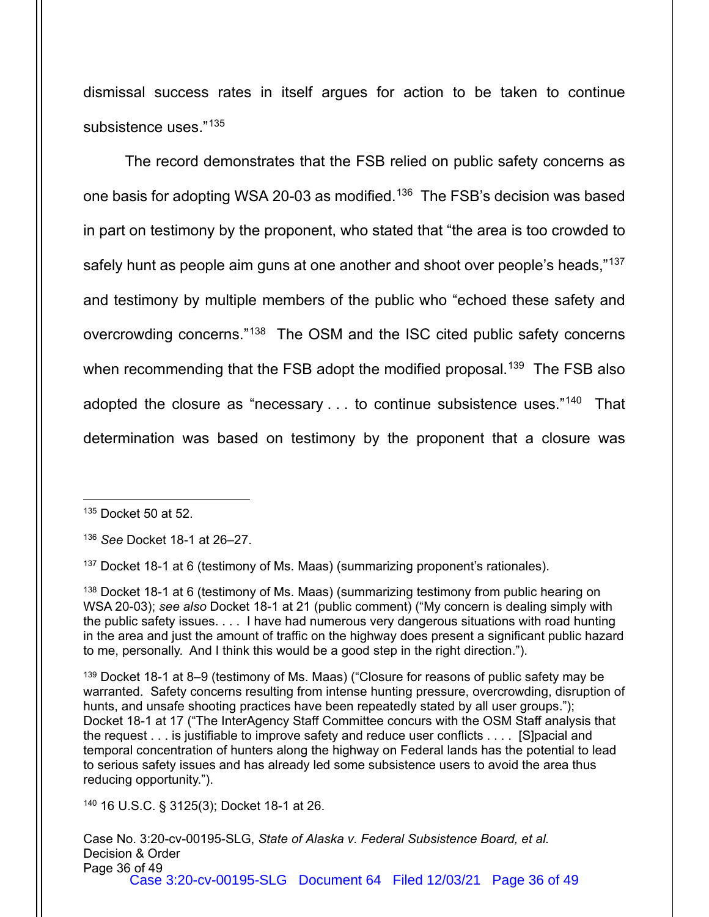dismissal success rates in itself argues for action to be taken to continue subsistence uses."[135](#page-35-0)

The record demonstrates that the FSB relied on public safety concerns as one basis for adopting WSA 20-03 as modified. [136](#page-35-1) The FSB's decision was based in part on testimony by the proponent, who stated that "the area is too crowded to safely hunt as people aim guns at one another and shoot over people's heads,"<sup>[137](#page-35-2)</sup> and testimony by multiple members of the public who "echoed these safety and overcrowding concerns."[138](#page-35-3) The OSM and the ISC cited public safety concerns when recommending that the FSB adopt the modified proposal.<sup>[139](#page-35-4)</sup> The FSB also adopted the closure as "necessary . . . to continue subsistence uses."<sup>140</sup> That determination was based on testimony by the proponent that a closure was

<span id="page-35-0"></span><sup>135</sup> Docket 50 at 52.

<span id="page-35-1"></span><sup>136</sup> *See* Docket 18-1 at 26–27.

<span id="page-35-2"></span><sup>137</sup> Docket 18-1 at 6 (testimony of Ms. Maas) (summarizing proponent's rationales).

<span id="page-35-3"></span>138 Docket 18-1 at 6 (testimony of Ms. Maas) (summarizing testimony from public hearing on WSA 20-03); *see also* Docket 18-1 at 21 (public comment) ("My concern is dealing simply with the public safety issues. . . . I have had numerous very dangerous situations with road hunting in the area and just the amount of traffic on the highway does present a significant public hazard to me, personally. And I think this would be a good step in the right direction.").

<span id="page-35-4"></span><sup>139</sup> Docket 18-1 at 8–9 (testimony of Ms. Maas) ("Closure for reasons of public safety may be warranted. Safety concerns resulting from intense hunting pressure, overcrowding, disruption of hunts, and unsafe shooting practices have been repeatedly stated by all user groups."); Docket 18-1 at 17 ("The InterAgency Staff Committee concurs with the OSM Staff analysis that the request . . . is justifiable to improve safety and reduce user conflicts . . . . [S]pacial and temporal concentration of hunters along the highway on Federal lands has the potential to lead to serious safety issues and has already led some subsistence users to avoid the area thus reducing opportunity.").

<span id="page-35-5"></span><sup>140</sup> 16 U.S.C. § 3125(3); Docket 18-1 at 26.

Case No. 3:20-cv-00195-SLG, *State of Alaska v. Federal Subsistence Board, et al.* Decision & Order Page 36 of 49 Case 3:20-cv-00195-SLG Document 64 Filed 12/03/21 Page 36 of 49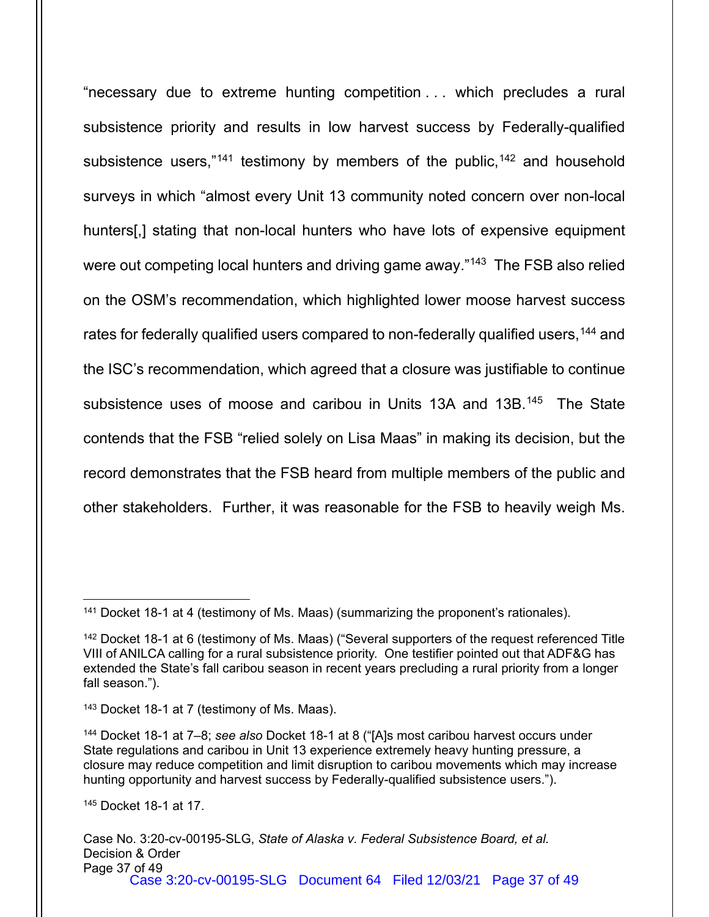"necessary due to extreme hunting competition . . . which precludes a rural subsistence priority and results in low harvest success by Federally-qualified subsistence users," $141$  testimony by members of the public,  $142$  and household surveys in which "almost every Unit 13 community noted concern over non-local hunters[,] stating that non-local hunters who have lots of expensive equipment were out competing local hunters and driving game away."<sup>[143](#page-36-2)</sup> The FSB also relied on the OSM's recommendation, which highlighted lower moose harvest success rates for federally qualified users compared to non-federally qualified users, <sup>[144](#page-36-3)</sup> and the ISC's recommendation, which agreed that a closure was justifiable to continue subsistence uses of moose and caribou in Units 13A and 13B.<sup>145</sup> The State contends that the FSB "relied solely on Lisa Maas" in making its decision, but the record demonstrates that the FSB heard from multiple members of the public and other stakeholders. Further, it was reasonable for the FSB to heavily weigh Ms.

<span id="page-36-4"></span><sup>145</sup> Docket 18-1 at 17.

<span id="page-36-0"></span><sup>&</sup>lt;sup>141</sup> Docket 18-1 at 4 (testimony of Ms. Maas) (summarizing the proponent's rationales).

<span id="page-36-1"></span><sup>142</sup> Docket 18-1 at 6 (testimony of Ms. Maas) ("Several supporters of the request referenced Title VIII of ANILCA calling for a rural subsistence priority. One testifier pointed out that ADF&G has extended the State's fall caribou season in recent years precluding a rural priority from a longer fall season.").

<span id="page-36-2"></span><sup>143</sup> Docket 18-1 at 7 (testimony of Ms. Maas).

<span id="page-36-3"></span><sup>144</sup> Docket 18-1 at 7–8; *see also* Docket 18-1 at 8 ("[A]s most caribou harvest occurs under State regulations and caribou in Unit 13 experience extremely heavy hunting pressure, a closure may reduce competition and limit disruption to caribou movements which may increase hunting opportunity and harvest success by Federally-qualified subsistence users.").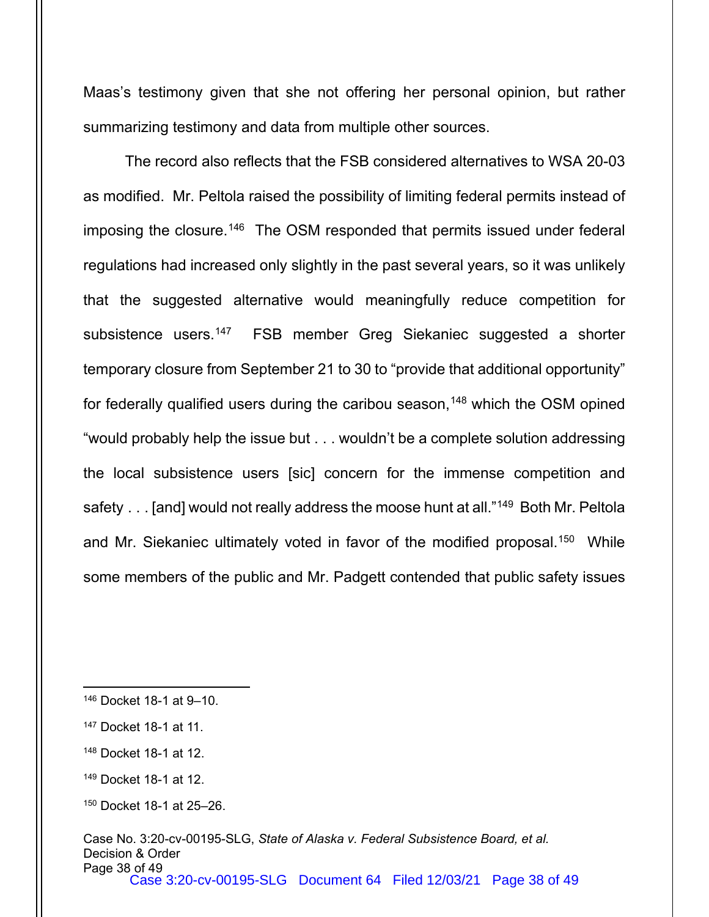Maas's testimony given that she not offering her personal opinion, but rather summarizing testimony and data from multiple other sources.

The record also reflects that the FSB considered alternatives to WSA 20-03 as modified. Mr. Peltola raised the possibility of limiting federal permits instead of imposing the closure.<sup>[146](#page-37-0)</sup> The OSM responded that permits issued under federal regulations had increased only slightly in the past several years, so it was unlikely that the suggested alternative would meaningfully reduce competition for subsistence users.<sup>[147](#page-37-1)</sup> FSB member Greg Siekaniec suggested a shorter temporary closure from September 21 to 30 to "provide that additional opportunity" for federally qualified users during the caribou season,<sup>[148](#page-37-2)</sup> which the OSM opined "would probably help the issue but . . . wouldn't be a complete solution addressing the local subsistence users [sic] concern for the immense competition and safety . . . [and] would not really address the moose hunt at all."<sup>149</sup> Both Mr. Peltola and Mr. Siekaniec ultimately voted in favor of the modified proposal.<sup>[150](#page-37-4)</sup> While some members of the public and Mr. Padgett contended that public safety issues

<span id="page-37-0"></span><sup>146</sup> Docket 18-1 at 9–10.

<span id="page-37-1"></span><sup>147</sup> Docket 18-1 at 11.

<span id="page-37-2"></span><sup>148</sup> Docket 18-1 at 12.

<span id="page-37-3"></span><sup>149</sup> Docket 18-1 at 12.

<span id="page-37-4"></span><sup>150</sup> Docket 18-1 at 25–26.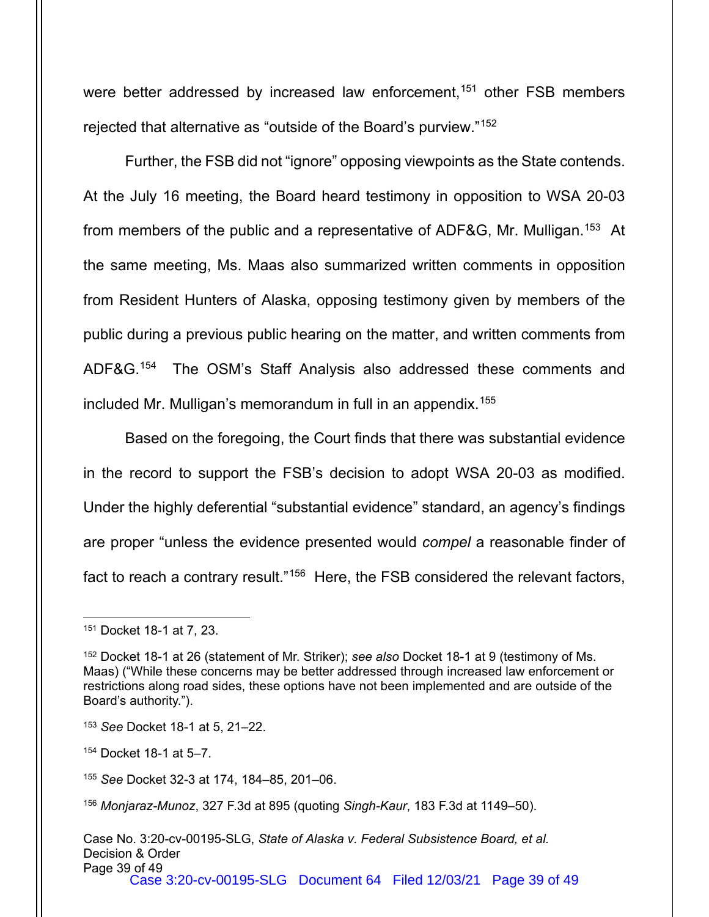were better addressed by increased law enforcement,<sup>[151](#page-38-0)</sup> other FSB members rejected that alternative as "outside of the Board's purview."[152](#page-38-1)

Further, the FSB did not "ignore" opposing viewpoints as the State contends. At the July 16 meeting, the Board heard testimony in opposition to WSA 20-03 from members of the public and a representative of ADF&G, Mr. Mulligan.<sup>[153](#page-38-2)</sup> At the same meeting, Ms. Maas also summarized written comments in opposition from Resident Hunters of Alaska, opposing testimony given by members of the public during a previous public hearing on the matter, and written comments from ADF&G.[154](#page-38-3) The OSM's Staff Analysis also addressed these comments and included Mr. Mulligan's memorandum in full in an appendix.[155](#page-38-4)

Based on the foregoing, the Court finds that there was substantial evidence in the record to support the FSB's decision to adopt WSA 20-03 as modified. Under the highly deferential "substantial evidence" standard, an agency's findings are proper "unless the evidence presented would *compel* a reasonable finder of fact to reach a contrary result."<sup>[156](#page-38-5)</sup> Here, the FSB considered the relevant factors,

<span id="page-38-0"></span><sup>151</sup> Docket 18-1 at 7, 23.

<span id="page-38-1"></span><sup>152</sup> Docket 18-1 at 26 (statement of Mr. Striker); *see also* Docket 18-1 at 9 (testimony of Ms. Maas) ("While these concerns may be better addressed through increased law enforcement or restrictions along road sides, these options have not been implemented and are outside of the Board's authority.").

<span id="page-38-2"></span><sup>153</sup> *See* Docket 18-1 at 5, 21–22.

<span id="page-38-3"></span><sup>154</sup> Docket 18-1 at 5–7.

<span id="page-38-4"></span><sup>155</sup> *See* Docket 32-3 at 174, 184–85, 201–06.

<span id="page-38-5"></span><sup>156</sup> *Monjaraz-Munoz*, 327 F.3d at 895 (quoting *Singh-Kaur*, 183 F.3d at 1149–50).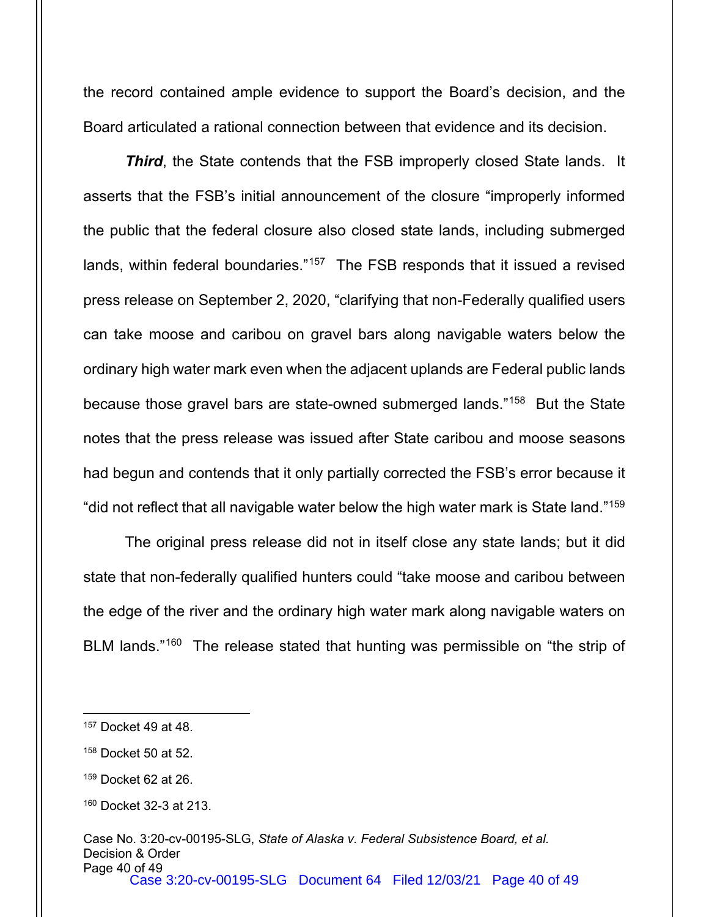the record contained ample evidence to support the Board's decision, and the Board articulated a rational connection between that evidence and its decision.

*Third*, the State contends that the FSB improperly closed State lands. It asserts that the FSB's initial announcement of the closure "improperly informed the public that the federal closure also closed state lands, including submerged lands, within federal boundaries."<sup>[157](#page-39-0)</sup> The FSB responds that it issued a revised press release on September 2, 2020, "clarifying that non-Federally qualified users can take moose and caribou on gravel bars along navigable waters below the ordinary high water mark even when the adjacent uplands are Federal public lands because those gravel bars are state-owned submerged lands."<sup>158</sup> But the State notes that the press release was issued after State caribou and moose seasons had begun and contends that it only partially corrected the FSB's error because it "did not reflect that all navigable water below the high water mark is State land."<sup>[159](#page-39-2)</sup>

The original press release did not in itself close any state lands; but it did state that non-federally qualified hunters could "take moose and caribou between the edge of the river and the ordinary high water mark along navigable waters on BLM lands."<sup>[160](#page-39-3)</sup> The release stated that hunting was permissible on "the strip of

<span id="page-39-0"></span><sup>157</sup> Docket 49 at 48.

<span id="page-39-1"></span><sup>158</sup> Docket 50 at 52.

<span id="page-39-2"></span><sup>159</sup> Docket 62 at 26.

<span id="page-39-3"></span><sup>160</sup> Docket 32-3 at 213.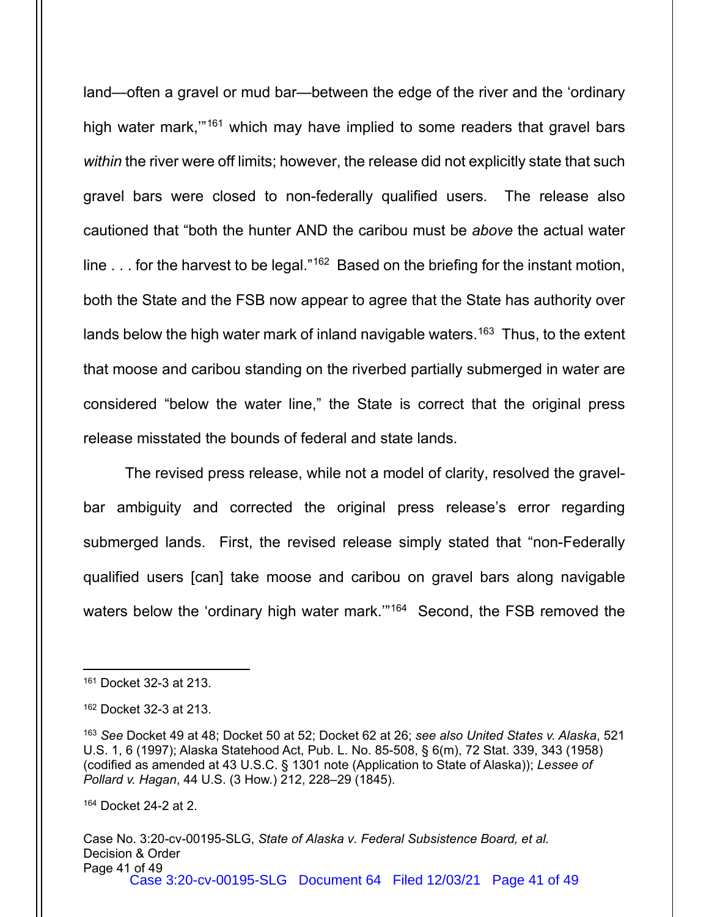land—often a gravel or mud bar—between the edge of the river and the 'ordinary high water mark,"<sup>[161](#page-40-0)</sup> which may have implied to some readers that gravel bars *within* the river were off limits; however, the release did not explicitly state that such gravel bars were closed to non-federally qualified users. The release also cautioned that "both the hunter AND the caribou must be *above* the actual water line . . . for the harvest to be legal."<sup>[162](#page-40-1)</sup> Based on the briefing for the instant motion, both the State and the FSB now appear to agree that the State has authority over lands below the high water mark of inland navigable waters.<sup>[163](#page-40-2)</sup> Thus, to the extent that moose and caribou standing on the riverbed partially submerged in water are considered "below the water line," the State is correct that the original press release misstated the bounds of federal and state lands.

The revised press release, while not a model of clarity, resolved the gravelbar ambiguity and corrected the original press release's error regarding submerged lands. First, the revised release simply stated that "non-Federally qualified users [can] take moose and caribou on gravel bars along navigable waters below the 'ordinary high water mark."<sup>164</sup> Second, the FSB removed the

<span id="page-40-3"></span><sup>164</sup> Docket 24-2 at 2.

<span id="page-40-0"></span><sup>161</sup> Docket 32-3 at 213.

<span id="page-40-1"></span><sup>162</sup> Docket 32-3 at 213.

<span id="page-40-2"></span><sup>163</sup> *See* Docket 49 at 48; Docket 50 at 52; Docket 62 at 26; *see also United States v. Alaska*, 521 U.S. 1, 6 (1997); Alaska Statehood Act, Pub. L. No. 85-508, § 6(m), 72 Stat. 339, 343 (1958) (codified as amended at 43 U.S.C. § 1301 note (Application to State of Alaska)); *Lessee of Pollard v. Hagan*, 44 U.S. (3 How.) 212, 228–29 (1845).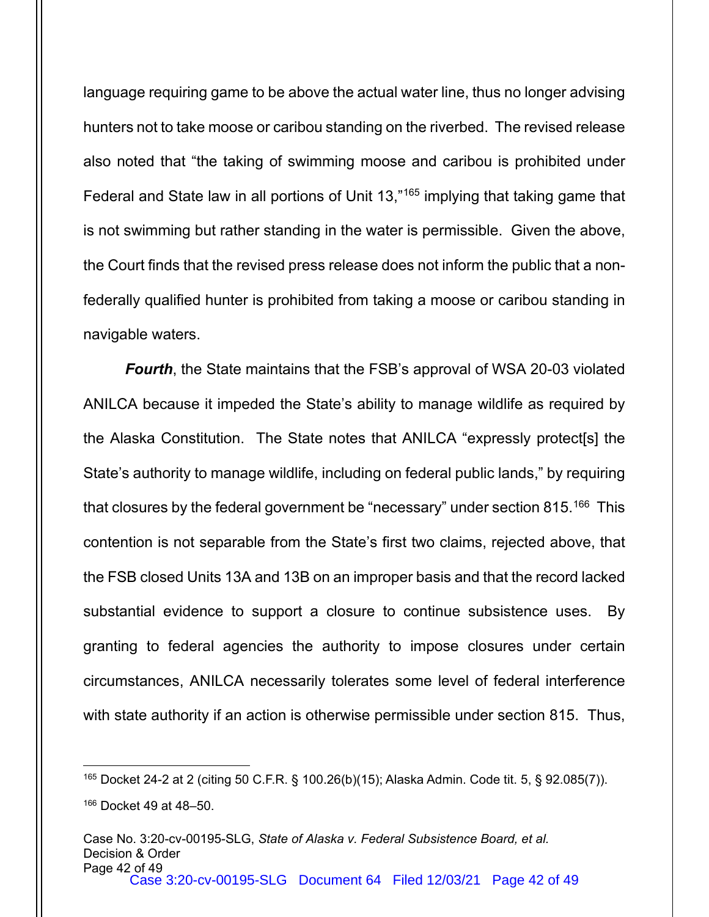language requiring game to be above the actual water line, thus no longer advising hunters not to take moose or caribou standing on the riverbed. The revised release also noted that "the taking of swimming moose and caribou is prohibited under Federal and State law in all portions of Unit 13,["165](#page-41-0) implying that taking game that is not swimming but rather standing in the water is permissible. Given the above, the Court finds that the revised press release does not inform the public that a nonfederally qualified hunter is prohibited from taking a moose or caribou standing in navigable waters.

*Fourth*, the State maintains that the FSB's approval of WSA 20-03 violated ANILCA because it impeded the State's ability to manage wildlife as required by the Alaska Constitution. The State notes that ANILCA "expressly protect[s] the State's authority to manage wildlife, including on federal public lands," by requiring that closures by the federal government be "necessary" under section 815.<sup>[166](#page-41-1)</sup> This contention is not separable from the State's first two claims, rejected above, that the FSB closed Units 13A and 13B on an improper basis and that the record lacked substantial evidence to support a closure to continue subsistence uses. By granting to federal agencies the authority to impose closures under certain circumstances, ANILCA necessarily tolerates some level of federal interference with state authority if an action is otherwise permissible under section 815. Thus,

<span id="page-41-1"></span><span id="page-41-0"></span><sup>165</sup> Docket 24-2 at 2 (citing 50 C.F.R. § 100.26(b)(15); Alaska Admin. Code tit. 5, § 92.085(7)). <sup>166</sup> Docket 49 at 48–50.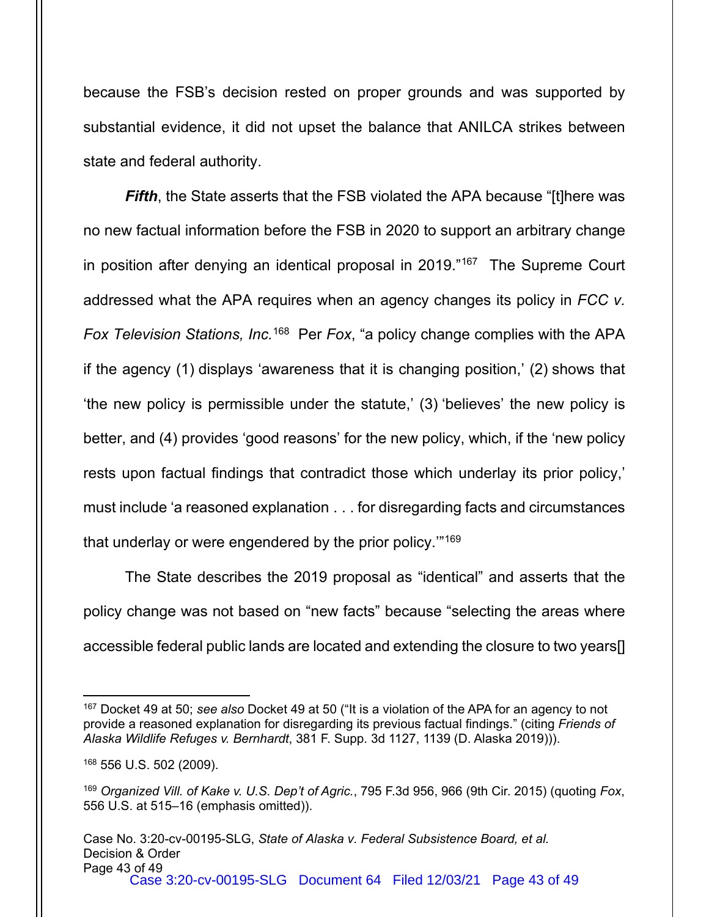because the FSB's decision rested on proper grounds and was supported by substantial evidence, it did not upset the balance that ANILCA strikes between state and federal authority.

*Fifth*, the State asserts that the FSB violated the APA because "[t]here was no new factual information before the FSB in 2020 to support an arbitrary change in position after denying an identical proposal in 2019."[167](#page-42-0) The Supreme Court addressed what the APA requires when an agency changes its policy in *FCC v. Fox Television Stations, Inc.*[168](#page-42-1) Per *Fox*, "a policy change complies with the APA if the agency (1) displays 'awareness that it is changing position,' (2) shows that 'the new policy is permissible under the statute,' (3) 'believes' the new policy is better, and (4) provides 'good reasons' for the new policy, which, if the 'new policy rests upon factual findings that contradict those which underlay its prior policy,' must include 'a reasoned explanation . . . for disregarding facts and circumstances that underlay or were engendered by the prior policy.'"[169](#page-42-2)

The State describes the 2019 proposal as "identical" and asserts that the policy change was not based on "new facts" because "selecting the areas where accessible federal public lands are located and extending the closure to two years[]

<span id="page-42-0"></span><sup>167</sup> Docket 49 at 50; *see also* Docket 49 at 50 ("It is a violation of the APA for an agency to not provide a reasoned explanation for disregarding its previous factual findings." (citing *Friends of Alaska Wildlife Refuges v. Bernhardt*, 381 F. Supp. 3d 1127, 1139 (D. Alaska 2019))).

<span id="page-42-1"></span><sup>168</sup> 556 U.S. 502 (2009).

<span id="page-42-2"></span><sup>169</sup> *Organized Vill. of Kake v. U.S. Dep't of Agric.*, 795 F.3d 956, 966 (9th Cir. 2015) (quoting *Fox*, 556 U.S. at 515–16 (emphasis omitted)).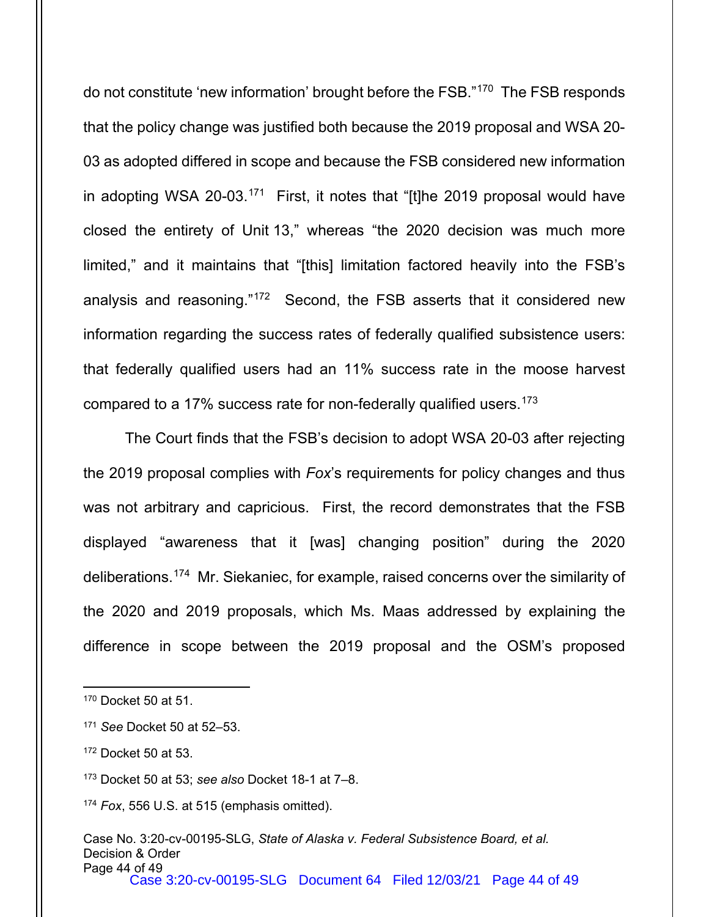do not constitute 'new information' brought before the FSB."[170](#page-43-0) The FSB responds that the policy change was justified both because the 2019 proposal and WSA 20- 03 as adopted differed in scope and because the FSB considered new information in adopting WSA 20-03. $^{171}$  First, it notes that "[t]he 2019 proposal would have closed the entirety of Unit 13," whereas "the 2020 decision was much more limited," and it maintains that "[this] limitation factored heavily into the FSB's analysis and reasoning."[172](#page-43-2) Second, the FSB asserts that it considered new information regarding the success rates of federally qualified subsistence users: that federally qualified users had an 11% success rate in the moose harvest compared to a 17% success rate for non-federally qualified users. [173](#page-43-3)

The Court finds that the FSB's decision to adopt WSA 20-03 after rejecting the 2019 proposal complies with *Fox*'s requirements for policy changes and thus was not arbitrary and capricious. First, the record demonstrates that the FSB displayed "awareness that it [was] changing position" during the 2020 deliberations.[174](#page-43-4) Mr. Siekaniec, for example, raised concerns over the similarity of the 2020 and 2019 proposals, which Ms. Maas addressed by explaining the difference in scope between the 2019 proposal and the OSM's proposed

<span id="page-43-0"></span><sup>170</sup> Docket 50 at 51.

<span id="page-43-1"></span><sup>171</sup> *See* Docket 50 at 52–53.

<span id="page-43-2"></span><sup>172</sup> Docket 50 at 53.

<span id="page-43-3"></span><sup>173</sup> Docket 50 at 53; *see also* Docket 18-1 at 7–8.

<span id="page-43-4"></span><sup>174</sup> *Fox*, 556 U.S. at 515 (emphasis omitted).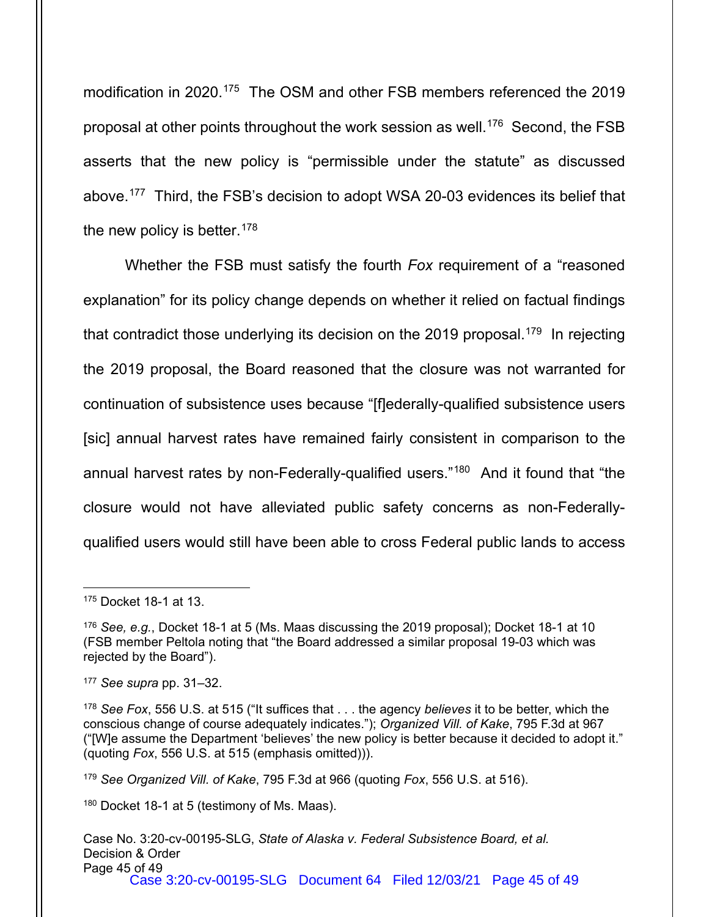modification in 2020. [175](#page-44-0) The OSM and other FSB members referenced the 2019 proposal at other points throughout the work session as well. [176](#page-44-1) Second, the FSB asserts that the new policy is "permissible under the statute" as discussed above.[177](#page-44-2) Third, the FSB's decision to adopt WSA 20-03 evidences its belief that the new policy is better.<sup>[178](#page-44-3)</sup>

Whether the FSB must satisfy the fourth *Fox* requirement of a "reasoned explanation" for its policy change depends on whether it relied on factual findings that contradict those underlying its decision on the 2019 proposal.<sup>[179](#page-44-4)</sup> In rejecting the 2019 proposal, the Board reasoned that the closure was not warranted for continuation of subsistence uses because "[f]ederally-qualified subsistence users [sic] annual harvest rates have remained fairly consistent in comparison to the annual harvest rates by non-Federally-qualified users."<sup>[180](#page-44-5)</sup> And it found that "the closure would not have alleviated public safety concerns as non-Federallyqualified users would still have been able to cross Federal public lands to access

<span id="page-44-5"></span><sup>180</sup> Docket 18-1 at 5 (testimony of Ms. Maas).

<span id="page-44-0"></span><sup>175</sup> Docket 18-1 at 13.

<span id="page-44-1"></span><sup>176</sup> *See, e.g.*, Docket 18-1 at 5 (Ms. Maas discussing the 2019 proposal); Docket 18-1 at 10 (FSB member Peltola noting that "the Board addressed a similar proposal 19-03 which was rejected by the Board").

<span id="page-44-2"></span><sup>177</sup> *See supra* pp. 31–32.

<span id="page-44-3"></span><sup>178</sup> *See Fox*, 556 U.S. at 515 ("It suffices that . . . the agency *believes* it to be better, which the conscious change of course adequately indicates."); *Organized Vill. of Kake*, 795 F.3d at 967 ("[W]e assume the Department 'believes' the new policy is better because it decided to adopt it." (quoting *Fox*, 556 U.S. at 515 (emphasis omitted))).

<span id="page-44-4"></span><sup>179</sup> *See Organized Vill. of Kake*, 795 F.3d at 966 (quoting *Fox*, 556 U.S. at 516).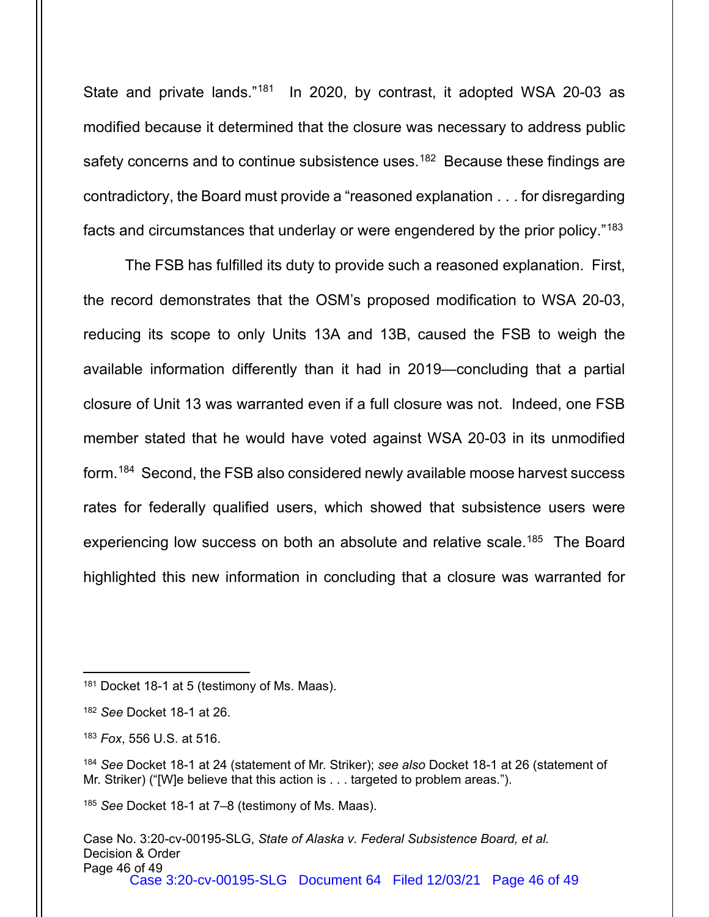State and private lands."<sup>181</sup> In 2020, by contrast, it adopted WSA 20-03 as modified because it determined that the closure was necessary to address public safety concerns and to continue subsistence uses.<sup>[182](#page-45-1)</sup> Because these findings are contradictory, the Board must provide a "reasoned explanation . . . for disregarding facts and circumstances that underlay or were engendered by the prior policy."[183](#page-45-2)

The FSB has fulfilled its duty to provide such a reasoned explanation. First, the record demonstrates that the OSM's proposed modification to WSA 20-03, reducing its scope to only Units 13A and 13B, caused the FSB to weigh the available information differently than it had in 2019—concluding that a partial closure of Unit 13 was warranted even if a full closure was not. Indeed, one FSB member stated that he would have voted against WSA 20-03 in its unmodified form.[184](#page-45-3) Second, the FSB also considered newly available moose harvest success rates for federally qualified users, which showed that subsistence users were experiencing low success on both an absolute and relative scale.<sup>[185](#page-45-4)</sup> The Board highlighted this new information in concluding that a closure was warranted for

<span id="page-45-0"></span><sup>&</sup>lt;sup>181</sup> Docket 18-1 at 5 (testimony of Ms. Maas).

<span id="page-45-1"></span><sup>182</sup> *See* Docket 18-1 at 26.

<span id="page-45-2"></span><sup>183</sup> *Fox*, 556 U.S. at 516.

<span id="page-45-3"></span><sup>184</sup> *See* Docket 18-1 at 24 (statement of Mr. Striker); *see also* Docket 18-1 at 26 (statement of Mr. Striker) ("[W]e believe that this action is . . . targeted to problem areas.").

<span id="page-45-4"></span><sup>185</sup> *See* Docket 18-1 at 7–8 (testimony of Ms. Maas).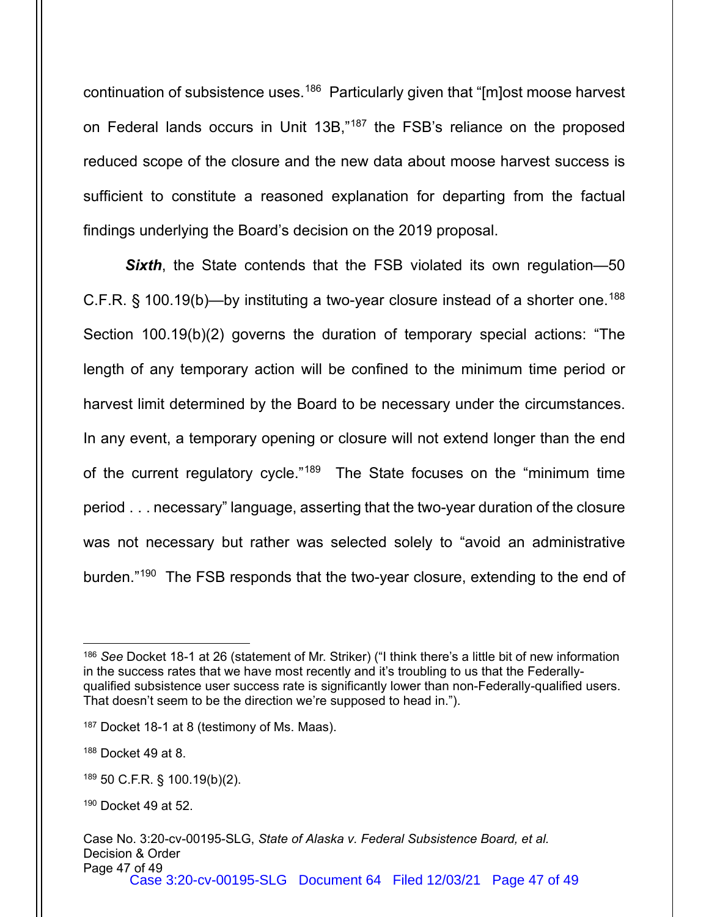continuation of subsistence uses.<sup>[186](#page-46-0)</sup> Particularly given that "[m]ost moose harvest on Federal lands occurs in Unit 13B,"<sup>[187](#page-46-1)</sup> the FSB's reliance on the proposed reduced scope of the closure and the new data about moose harvest success is sufficient to constitute a reasoned explanation for departing from the factual findings underlying the Board's decision on the 2019 proposal.

*Sixth*, the State contends that the FSB violated its own regulation—50 C.F.R. § 100.19(b)—by instituting a two-year closure instead of a shorter one.<sup>[188](#page-46-2)</sup> Section 100.19(b)(2) governs the duration of temporary special actions: "The length of any temporary action will be confined to the minimum time period or harvest limit determined by the Board to be necessary under the circumstances. In any event, a temporary opening or closure will not extend longer than the end of the current regulatory cycle."<sup>[189](#page-46-3)</sup> The State focuses on the "minimum time period . . . necessary" language, asserting that the two-year duration of the closure was not necessary but rather was selected solely to "avoid an administrative burden."<sup>[190](#page-46-4)</sup> The FSB responds that the two-year closure, extending to the end of

<span id="page-46-0"></span><sup>186</sup> *See* Docket 18-1 at 26 (statement of Mr. Striker) ("I think there's a little bit of new information in the success rates that we have most recently and it's troubling to us that the Federallyqualified subsistence user success rate is significantly lower than non-Federally-qualified users. That doesn't seem to be the direction we're supposed to head in.").

<span id="page-46-1"></span><sup>&</sup>lt;sup>187</sup> Docket 18-1 at 8 (testimony of Ms. Maas).

<span id="page-46-2"></span><sup>188</sup> Docket 49 at 8.

<span id="page-46-3"></span><sup>189</sup> 50 C.F.R. § 100.19(b)(2).

<span id="page-46-4"></span><sup>190</sup> Docket 49 at 52.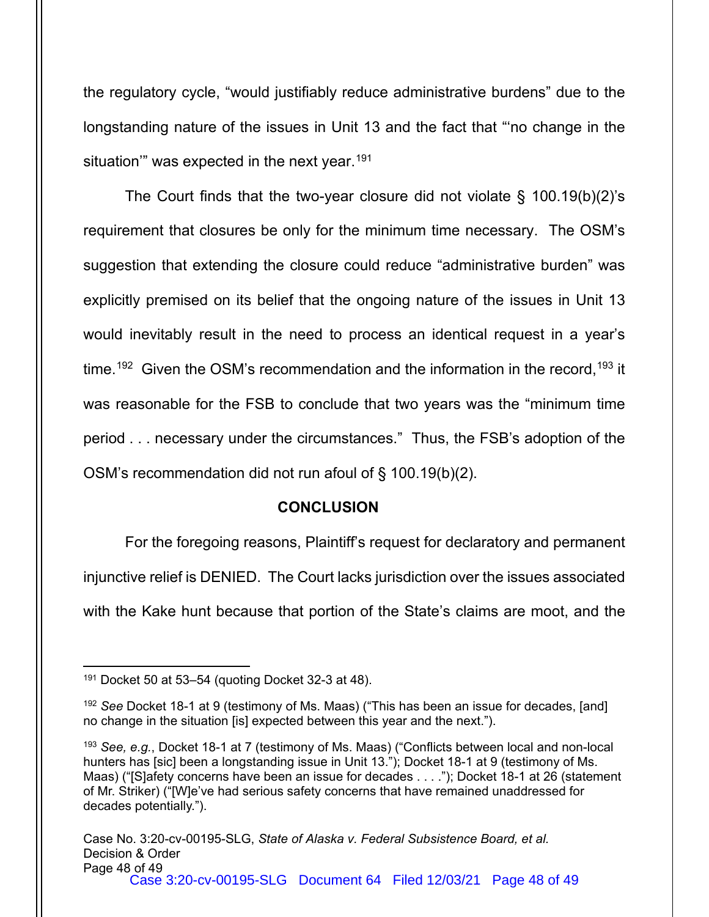the regulatory cycle, "would justifiably reduce administrative burdens" due to the longstanding nature of the issues in Unit 13 and the fact that "'no change in the situation" was expected in the next year.<sup>[191](#page-47-0)</sup>

The Court finds that the two-year closure did not violate § 100.19(b)(2)'s requirement that closures be only for the minimum time necessary. The OSM's suggestion that extending the closure could reduce "administrative burden" was explicitly premised on its belief that the ongoing nature of the issues in Unit 13 would inevitably result in the need to process an identical request in a year's time.<sup>[192](#page-47-1)</sup> Given the OSM's recommendation and the information in the record,<sup>[193](#page-47-2)</sup> it was reasonable for the FSB to conclude that two years was the "minimum time period . . . necessary under the circumstances." Thus, the FSB's adoption of the OSM's recommendation did not run afoul of § 100.19(b)(2).

## **CONCLUSION**

For the foregoing reasons, Plaintiff's request for declaratory and permanent injunctive relief is DENIED. The Court lacks jurisdiction over the issues associated with the Kake hunt because that portion of the State's claims are moot, and the

<span id="page-47-0"></span> $191$  Docket 50 at 53-54 (quoting Docket 32-3 at 48).

<span id="page-47-1"></span><sup>192</sup> *See* Docket 18-1 at 9 (testimony of Ms. Maas) ("This has been an issue for decades, [and] no change in the situation [is] expected between this year and the next.").

<span id="page-47-2"></span><sup>193</sup> *See, e.g.*, Docket 18-1 at 7 (testimony of Ms. Maas) ("Conflicts between local and non-local hunters has [sic] been a longstanding issue in Unit 13."); Docket 18-1 at 9 (testimony of Ms. Maas) ("[S]afety concerns have been an issue for decades . . . ."); Docket 18-1 at 26 (statement of Mr. Striker) ("[W]e've had serious safety concerns that have remained unaddressed for decades potentially.").